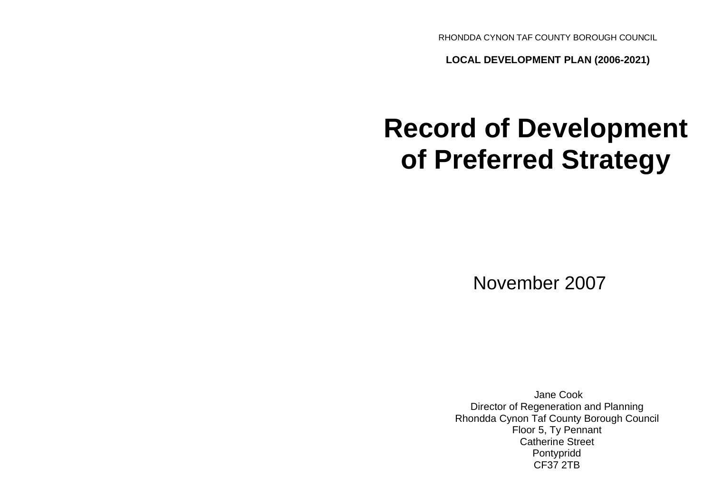RHONDDA CYNON TAF COUNTY BOROUGH COUNCIL

**LOCAL DEVELOPMENT PLAN (2006-2021)**

# **Record of Development of Preferred Strategy**

November 2007

Jane Cook Director of Regeneration and Planning Rhondda Cynon Taf County Borough Council Floor 5, Ty Pennant Catherine Street Pontypridd CF37 2TB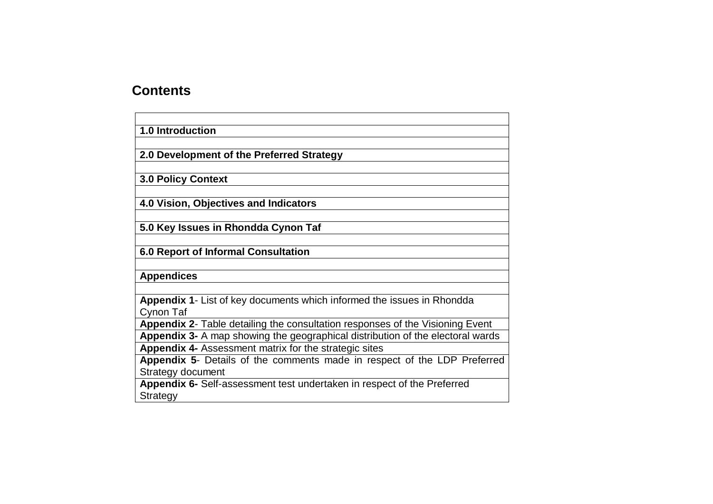# **Contents**

| <b>1.0 Introduction</b>                                                        |
|--------------------------------------------------------------------------------|
|                                                                                |
| 2.0 Development of the Preferred Strategy                                      |
|                                                                                |
| <b>3.0 Policy Context</b>                                                      |
|                                                                                |
| 4.0 Vision, Objectives and Indicators                                          |
|                                                                                |
| 5.0 Key Issues in Rhondda Cynon Taf                                            |
|                                                                                |
| <b>6.0 Report of Informal Consultation</b>                                     |
|                                                                                |
| <b>Appendices</b>                                                              |
|                                                                                |
| Appendix 1- List of key documents which informed the issues in Rhondda         |
| Cynon Taf                                                                      |
| Appendix 2- Table detailing the consultation responses of the Visioning Event  |
| Appendix 3- A map showing the geographical distribution of the electoral wards |
| Appendix 4- Assessment matrix for the strategic sites                          |
| Appendix 5- Details of the comments made in respect of the LDP Preferred       |
| Strategy document                                                              |
| Appendix 6- Self-assessment test undertaken in respect of the Preferred        |
| <b>Strategy</b>                                                                |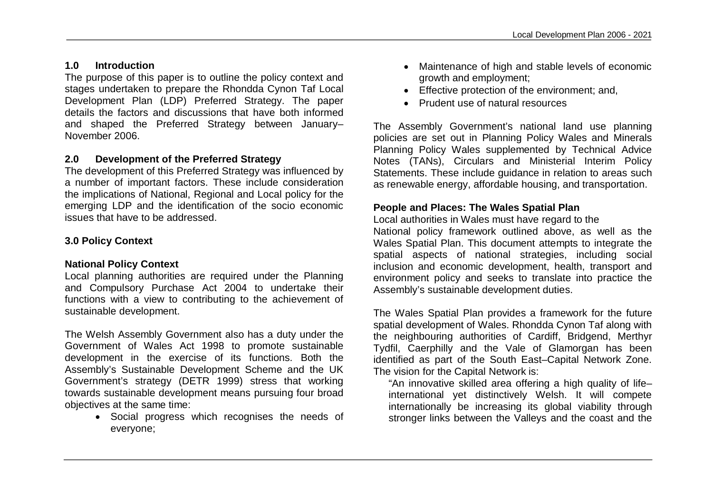# **1.0 Introduction**

The purpose of this paper is to outline the policy context and stages undertaken to prepare the Rhondda Cynon Taf Local Development Plan (LDP) Preferred Strategy. The paper details the factors and discussions that have both informed and shaped the Preferred Strategy between January– November 2006.

# **2.0 Development of the Preferred Strategy**

The development of this Preferred Strategy was influenced by a number of important factors. These include consideration the implications of National, Regional and Local policy for the emerging LDP and the identification of the socio economic issues that have to be addressed.

# **3.0 Policy Context**

# **National Policy Context**

Local planning authorities are required under the Planning and Compulsory Purchase Act 2004 to undertake their functions with a view to contributing to the achievement of sustainable development.

The Welsh Assembly Government also has a duty under the Government of Wales Act 1998 to promote sustainable development in the exercise of its functions. Both the Assembly's Sustainable Development Scheme and the UK Government's strategy (DETR 1999) stress that working towards sustainable development means pursuing four broad objectives at the same time:

> Social progress which recognises the needs of everyone;

- Maintenance of high and stable levels of economic growth and employment;
- Effective protection of the environment; and,
- Prudent use of natural resources

The Assembly Government's national land use planning policies are set out in Planning Policy Wales and Minerals Planning Policy Wales supplemented by Technical Advice Notes (TANs), Circulars and Ministerial Interim Policy Statements. These include guidance in relation to areas such as renewable energy, affordable housing, and transportation.

# **People and Places: The Wales Spatial Plan**

Local authorities in Wales must have regard to the

National policy framework outlined above, as well as the Wales Spatial Plan. This document attempts to integrate the spatial aspects of national strategies, including social inclusion and economic development, health, transport and environment policy and seeks to translate into practice the Assembly's sustainable development duties.

The Wales Spatial Plan provides a framework for the future spatial development of Wales. Rhondda Cynon Taf along with the neighbouring authorities of Cardiff, Bridgend, Merthyr Tydfil, Caerphilly and the Vale of Glamorgan has been identified as part of the South East–Capital Network Zone. The vision for the Capital Network is:

"An innovative skilled area offering a high quality of life– international yet distinctively Welsh. It will compete internationally be increasing its global viability through stronger links between the Valleys and the coast and the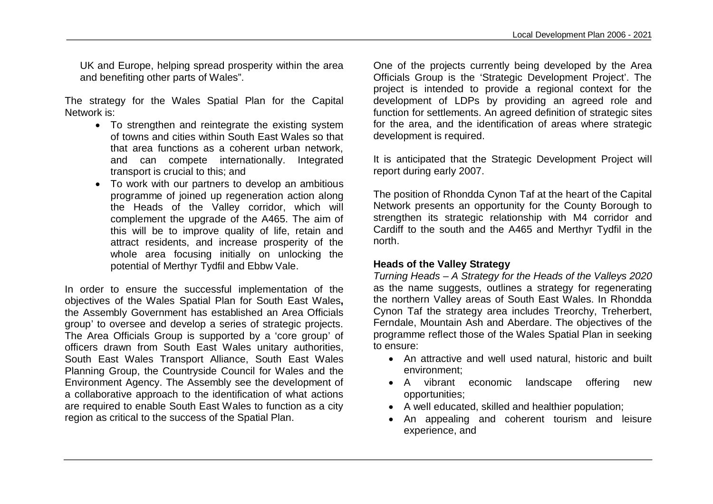UK and Europe, helping spread prosperity within the area and benefiting other parts of Wales".

The strategy for the Wales Spatial Plan for the Capital Network is:

- To strengthen and reintegrate the existing system of towns and cities within South East Wales so that that area functions as a coherent urban network, and can compete internationally. Integrated transport is crucial to this; and
- To work with our partners to develop an ambitious programme of joined up regeneration action along the Heads of the Valley corridor, which will complement the upgrade of the A465. The aim of this will be to improve quality of life, retain and attract residents, and increase prosperity of the whole area focusing initially on unlocking the potential of Merthyr Tydfil and Ebbw Vale.

In order to ensure the successful implementation of the objectives of the Wales Spatial Plan for South East Wales**,**  the Assembly Government has established an Area Officials group' to oversee and develop a series of strategic projects. The Area Officials Group is supported by a 'core group' of officers drawn from South East Wales unitary authorities, South East Wales Transport Alliance, South East Wales Planning Group, the Countryside Council for Wales and the Environment Agency. The Assembly see the development of a collaborative approach to the identification of what actions are required to enable South East Wales to function as a city region as critical to the success of the Spatial Plan.

One of the projects currently being developed by the Area Officials Group is the 'Strategic Development Project'. The project is intended to provide a regional context for the development of LDPs by providing an agreed role and function for settlements. An agreed definition of strategic sites for the area, and the identification of areas where strategic development is required.

It is anticipated that the Strategic Development Project will report during early 2007.

The position of Rhondda Cynon Taf at the heart of the Capital Network presents an opportunity for the County Borough to strengthen its strategic relationship with M4 corridor and Cardiff to the south and the A465 and Merthyr Tydfil in the north.

#### **Heads of the Valley Strategy**

*Turning Heads – A Strategy for the Heads of the Valleys 2020*  as the name suggests, outlines a strategy for regenerating the northern Valley areas of South East Wales. In Rhondda Cynon Taf the strategy area includes Treorchy, Treherbert, Ferndale, Mountain Ash and Aberdare. The objectives of the programme reflect those of the Wales Spatial Plan in seeking to ensure:

- An attractive and well used natural, historic and built environment;
- A vibrant economic landscape offering new opportunities;
- A well educated, skilled and healthier population;
- An appealing and coherent tourism and leisure experience, and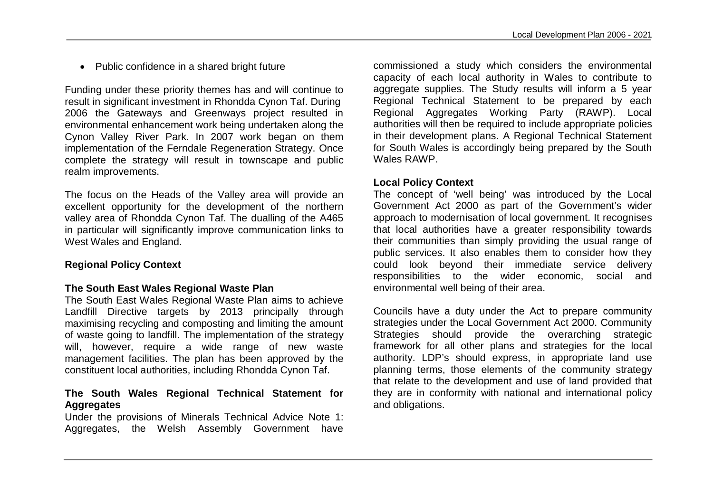• Public confidence in a shared bright future

Funding under these priority themes has and will continue to result in significant investment in Rhondda Cynon Taf. During 2006 the Gateways and Greenways project resulted in environmental enhancement work being undertaken along the Cynon Valley River Park. In 2007 work began on them implementation of the Ferndale Regeneration Strategy. Once complete the strategy will result in townscape and public realm improvements.

The focus on the Heads of the Valley area will provide an excellent opportunity for the development of the northern valley area of Rhondda Cynon Taf. The dualling of the A465 in particular will significantly improve communication links to West Wales and England.

# **Regional Policy Context**

## **The South East Wales Regional Waste Plan**

The South East Wales Regional Waste Plan aims to achieve Landfill Directive targets by 2013 principally through maximising recycling and composting and limiting the amount of waste going to landfill. The implementation of the strategy will, however, require a wide range of new waste management facilities. The plan has been approved by the constituent local authorities, including Rhondda Cynon Taf.

## **The South Wales Regional Technical Statement for Aggregates**

Under the provisions of Minerals Technical Advice Note 1: Aggregates, the Welsh Assembly Government have

commissioned a study which considers the environmental capacity of each local authority in Wales to contribute to aggregate supplies. The Study results will inform a 5 year Regional Technical Statement to be prepared by each Regional Aggregates Working Party (RAWP). Local authorities will then be required to include appropriate policies in their development plans. A Regional Technical Statement for South Wales is accordingly being prepared by the South Wales RAWP.

#### **Local Policy Context**

The concept of 'well being' was introduced by the Local Government Act 2000 as part of the Government's wider approach to modernisation of local government. It recognises that local authorities have a greater responsibility towards their communities than simply providing the usual range of public services. It also enables them to consider how they could look beyond their immediate service delivery responsibilities to the wider economic, social and environmental well being of their area.

Councils have a duty under the Act to prepare community strategies under the Local Government Act 2000. Community Strategies should provide the overarching strategic framework for all other plans and strategies for the local authority. LDP's should express, in appropriate land use planning terms, those elements of the community strategy that relate to the development and use of land provided that they are in conformity with national and international policy and obligations.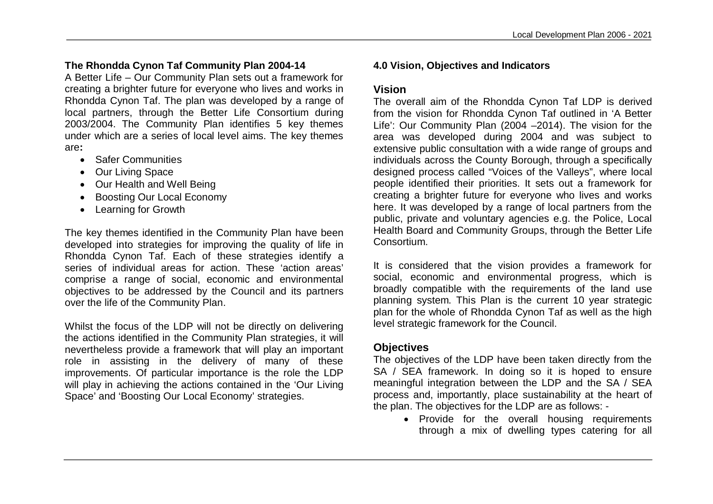# **The Rhondda Cynon Taf Community Plan 2004-14**

A Better Life – Our Community Plan sets out a framework for creating a brighter future for everyone who lives and works in Rhondda Cynon Taf. The plan was developed by a range of local partners, through the Better Life Consortium during 2003/2004. The Community Plan identifies 5 key themes under which are a series of local level aims. The key themes are**:**

- Safer Communities
- Our Living Space
- Our Health and Well Being
- Boosting Our Local Economy
- Learning for Growth

The key themes identified in the Community Plan have been developed into strategies for improving the quality of life in Rhondda Cynon Taf. Each of these strategies identify a series of individual areas for action. These 'action areas' comprise a range of social, economic and environmental objectives to be addressed by the Council and its partners over the life of the Community Plan.

Whilst the focus of the LDP will not be directly on delivering the actions identified in the Community Plan strategies, it will nevertheless provide a framework that will play an important role in assisting in the delivery of many of these improvements. Of particular importance is the role the LDP will play in achieving the actions contained in the 'Our Living' Space' and 'Boosting Our Local Economy' strategies.

# **4.0 Vision, Objectives and Indicators**

## **Vision**

The overall aim of the Rhondda Cynon Taf LDP is derived from the vision for Rhondda Cynon Taf outlined in 'A Better Life': Our Community Plan (2004 –2014). The vision for the area was developed during 2004 and was subject to extensive public consultation with a wide range of groups and individuals across the County Borough, through a specifically designed process called "Voices of the Valleys", where local people identified their priorities. It sets out a framework for creating a brighter future for everyone who lives and works here. It was developed by a range of local partners from the public, private and voluntary agencies e.g. the Police, Local Health Board and Community Groups, through the Better Life Consortium.

It is considered that the vision provides a framework for social, economic and environmental progress, which is broadly compatible with the requirements of the land use planning system. This Plan is the current 10 year strategic plan for the whole of Rhondda Cynon Taf as well as the high level strategic framework for the Council.

# **Objectives**

The objectives of the LDP have been taken directly from the SA / SEA framework. In doing so it is hoped to ensure meaningful integration between the LDP and the SA / SEA process and, importantly, place sustainability at the heart of the plan. The objectives for the LDP are as follows: -

• Provide for the overall housing requirements through a mix of dwelling types catering for all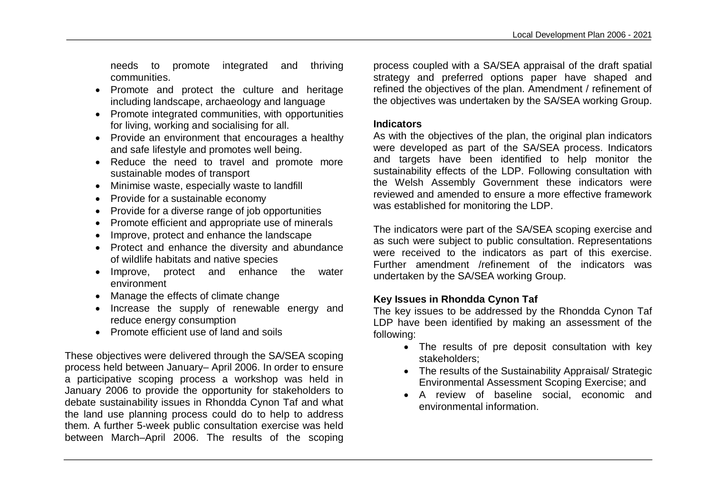needs to promote integrated and thriving communities.

- Promote and protect the culture and heritage including landscape, archaeology and language
- Promote integrated communities, with opportunities for living, working and socialising for all.
- Provide an environment that encourages a healthy and safe lifestyle and promotes well being.
- Reduce the need to travel and promote more sustainable modes of transport
- Minimise waste, especially waste to landfill
- Provide for a sustainable economy
- Provide for a diverse range of job opportunities
- Promote efficient and appropriate use of minerals
- Improve, protect and enhance the landscape
- Protect and enhance the diversity and abundance of wildlife habitats and native species
- Improve, protect and enhance the water environment
- Manage the effects of climate change
- Increase the supply of renewable energy and reduce energy consumption
- Promote efficient use of land and soils

These objectives were delivered through the SA/SEA scoping process held between January– April 2006. In order to ensure a participative scoping process a workshop was held in January 2006 to provide the opportunity for stakeholders to debate sustainability issues in Rhondda Cynon Taf and what the land use planning process could do to help to address them. A further 5-week public consultation exercise was held between March–April 2006. The results of the scoping

process coupled with a SA/SEA appraisal of the draft spatial strategy and preferred options paper have shaped and refined the objectives of the plan. Amendment / refinement of the objectives was undertaken by the SA/SEA working Group.

#### **Indicators**

As with the objectives of the plan, the original plan indicators were developed as part of the SA/SEA process. Indicators and targets have been identified to help monitor the sustainability effects of the LDP. Following consultation with the Welsh Assembly Government these indicators were reviewed and amended to ensure a more effective framework was established for monitoring the LDP.

The indicators were part of the SA/SEA scoping exercise and as such were subject to public consultation. Representations were received to the indicators as part of this exercise. Further amendment /refinement of the indicators was undertaken by the SA/SEA working Group.

# **Key Issues in Rhondda Cynon Taf**

The key issues to be addressed by the Rhondda Cynon Taf LDP have been identified by making an assessment of the following:

- The results of pre deposit consultation with key stakeholders;
- The results of the Sustainability Appraisal/ Strategic Environmental Assessment Scoping Exercise; and
- A review of baseline social, economic and environmental information.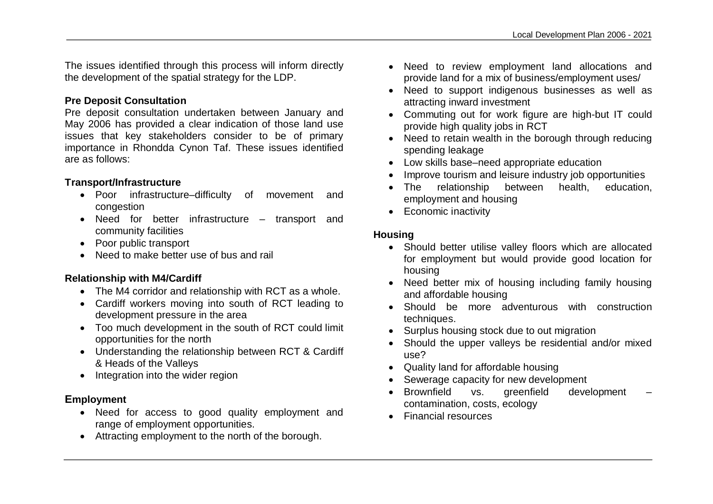The issues identified through this process will inform directly the development of the spatial strategy for the LDP.

# **Pre Deposit Consultation**

Pre deposit consultation undertaken between January and May 2006 has provided a clear indication of those land use issues that key stakeholders consider to be of primary importance in Rhondda Cynon Taf. These issues identified are as follows:

# **Transport/Infrastructure**

- Poor infrastructure–difficulty of movement and congestion
- Need for better infrastructure transport and community facilities
- Poor public transport
- Need to make better use of bus and rail

# **Relationship with M4/Cardiff**

- The M4 corridor and relationship with RCT as a whole.
- Cardiff workers moving into south of RCT leading to development pressure in the area
- Too much development in the south of RCT could limit opportunities for the north
- Understanding the relationship between RCT & Cardiff & Heads of the Valleys
- Integration into the wider region

# **Employment**

- Need for access to good quality employment and range of employment opportunities.
- Attracting employment to the north of the borough.
- Need to review employment land allocations and provide land for a mix of business/employment uses/
- Need to support indigenous businesses as well as attracting inward investment
- Commuting out for work figure are high-but IT could provide high quality jobs in RCT
- Need to retain wealth in the borough through reducing spending leakage
- Low skills base–need appropriate education
- Improve tourism and leisure industry job opportunities
- The relationship between health, education, employment and housing
- Economic inactivity

# **Housing**

- Should better utilise valley floors which are allocated for employment but would provide good location for housing
- Need better mix of housing including family housing and affordable housing
- Should be more adventurous with construction techniques.
- Surplus housing stock due to out migration
- Should the upper valleys be residential and/or mixed use?
- Quality land for affordable housing
- Sewerage capacity for new development
- Brownfield vs. greenfield development contamination, costs, ecology
- **•** Financial resources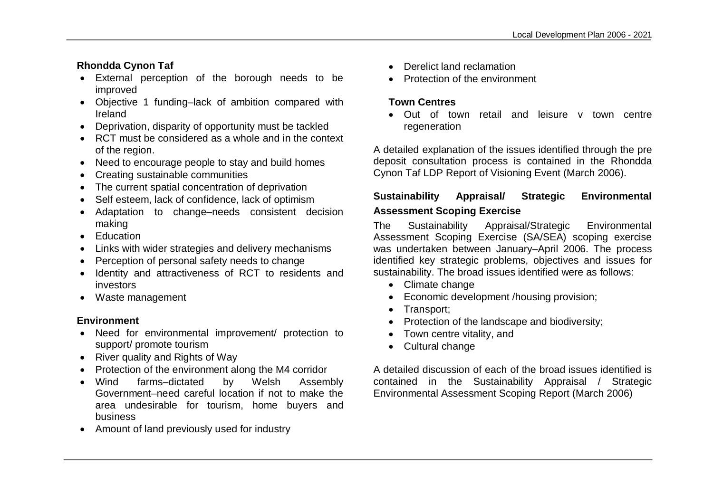# **Rhondda Cynon Taf**

- External perception of the borough needs to be improved
- Objective 1 funding–lack of ambition compared with Ireland
- Deprivation, disparity of opportunity must be tackled
- RCT must be considered as a whole and in the context of the region.
- Need to encourage people to stay and build homes
- Creating sustainable communities
- The current spatial concentration of deprivation
- Self esteem, lack of confidence, lack of optimism
- Adaptation to change–needs consistent decision making
- Education
- Links with wider strategies and delivery mechanisms
- Perception of personal safety needs to change
- Identity and attractiveness of RCT to residents and investors
- Waste management

## **Environment**

- Need for environmental improvement/ protection to support/ promote tourism
- River quality and Rights of Way
- Protection of the environment along the M4 corridor
- Wind farms–dictated by Welsh Assembly Government–need careful location if not to make the area undesirable for tourism, home buyers and business
- Amount of land previously used for industry
- Derelict land reclamation
- Protection of the environment

# **Town Centres**

 Out of town retail and leisure v town centre regeneration

A detailed explanation of the issues identified through the pre deposit consultation process is contained in the Rhondda Cynon Taf LDP Report of Visioning Event (March 2006).

# **Sustainability Appraisal/ Strategic Environmental Assessment Scoping Exercise**

The Sustainability Appraisal/Strategic Environmental Assessment Scoping Exercise (SA/SEA) scoping exercise was undertaken between January–April 2006. The process identified key strategic problems, objectives and issues for sustainability. The broad issues identified were as follows:

- Climate change
- Economic development /housing provision;
- Transport;
- Protection of the landscape and biodiversity;
- Town centre vitality, and
- Cultural change

A detailed discussion of each of the broad issues identified is contained in the Sustainability Appraisal / Strategic Environmental Assessment Scoping Report (March 2006)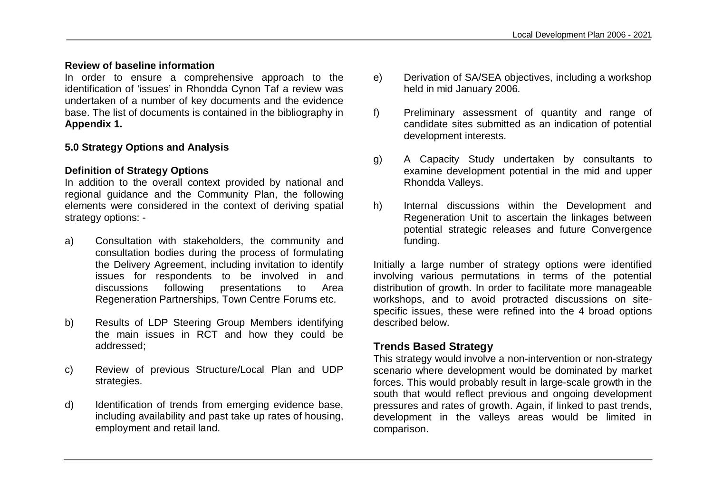## **Review of baseline information**

In order to ensure a comprehensive approach to the identification of 'issues' in Rhondda Cynon Taf a review was undertaken of a number of key documents and the evidence base. The list of documents is contained in the bibliography in **Appendix 1.**

## **5.0 Strategy Options and Analysis**

# **Definition of Strategy Options**

In addition to the overall context provided by national and regional guidance and the Community Plan, the following elements were considered in the context of deriving spatial strategy options: -

- a) Consultation with stakeholders, the community and consultation bodies during the process of formulating the Delivery Agreement, including invitation to identify issues for respondents to be involved in and discussions following presentations to Area Regeneration Partnerships, Town Centre Forums etc.
- b) Results of LDP Steering Group Members identifying the main issues in RCT and how they could be addressed;
- c) Review of previous Structure/Local Plan and UDP strategies.
- d) Identification of trends from emerging evidence base, including availability and past take up rates of housing, employment and retail land.
- e) Derivation of SA/SEA objectives, including a workshop held in mid January 2006.
- f) Preliminary assessment of quantity and range of candidate sites submitted as an indication of potential development interests.
- g) A Capacity Study undertaken by consultants to examine development potential in the mid and upper Rhondda Valleys.
- h) Internal discussions within the Development and Regeneration Unit to ascertain the linkages between potential strategic releases and future Convergence funding.

Initially a large number of strategy options were identified involving various permutations in terms of the potential distribution of growth. In order to facilitate more manageable workshops, and to avoid protracted discussions on sitespecific issues, these were refined into the 4 broad options described below.

# **Trends Based Strategy**

This strategy would involve a non-intervention or non-strategy scenario where development would be dominated by market forces. This would probably result in large-scale growth in the south that would reflect previous and ongoing development pressures and rates of growth. Again, if linked to past trends, development in the valleys areas would be limited in comparison.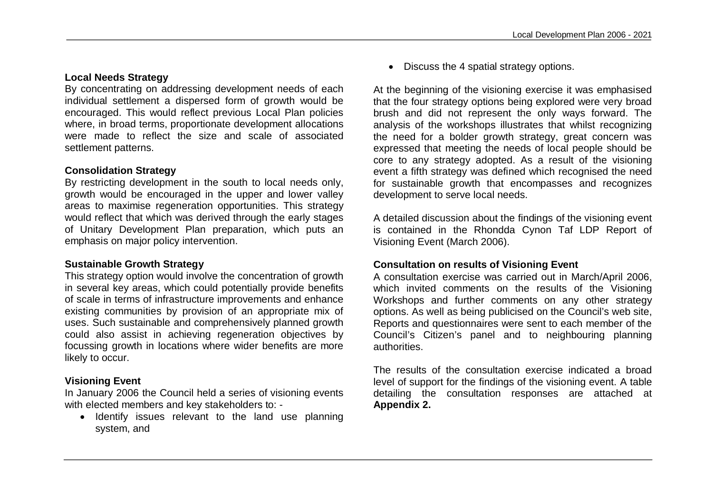# **Local Needs Strategy**

By concentrating on addressing development needs of each individual settlement a dispersed form of growth would be encouraged. This would reflect previous Local Plan policies where, in broad terms, proportionate development allocations were made to reflect the size and scale of associated settlement patterns.

## **Consolidation Strategy**

By restricting development in the south to local needs only, growth would be encouraged in the upper and lower valley areas to maximise regeneration opportunities. This strategy would reflect that which was derived through the early stages of Unitary Development Plan preparation, which puts an emphasis on major policy intervention.

#### **Sustainable Growth Strategy**

This strategy option would involve the concentration of growth in several key areas, which could potentially provide benefits of scale in terms of infrastructure improvements and enhance existing communities by provision of an appropriate mix of uses. Such sustainable and comprehensively planned growth could also assist in achieving regeneration objectives by focussing growth in locations where wider benefits are more likely to occur.

# **Visioning Event**

In January 2006 the Council held a series of visioning events with elected members and key stakeholders to: -

• Identify issues relevant to the land use planning system, and

Discuss the 4 spatial strategy options.

At the beginning of the visioning exercise it was emphasised that the four strategy options being explored were very broad brush and did not represent the only ways forward. The analysis of the workshops illustrates that whilst recognizing the need for a bolder growth strategy, great concern was expressed that meeting the needs of local people should be core to any strategy adopted. As a result of the visioning event a fifth strategy was defined which recognised the need for sustainable growth that encompasses and recognizes development to serve local needs.

A detailed discussion about the findings of the visioning event is contained in the Rhondda Cynon Taf LDP Report of Visioning Event (March 2006).

## **Consultation on results of Visioning Event**

A consultation exercise was carried out in March/April 2006, which invited comments on the results of the Visioning Workshops and further comments on any other strategy options. As well as being publicised on the Council's web site, Reports and questionnaires were sent to each member of the Council's Citizen's panel and to neighbouring planning authorities.

The results of the consultation exercise indicated a broad level of support for the findings of the visioning event. A table detailing the consultation responses are attached at **Appendix 2.**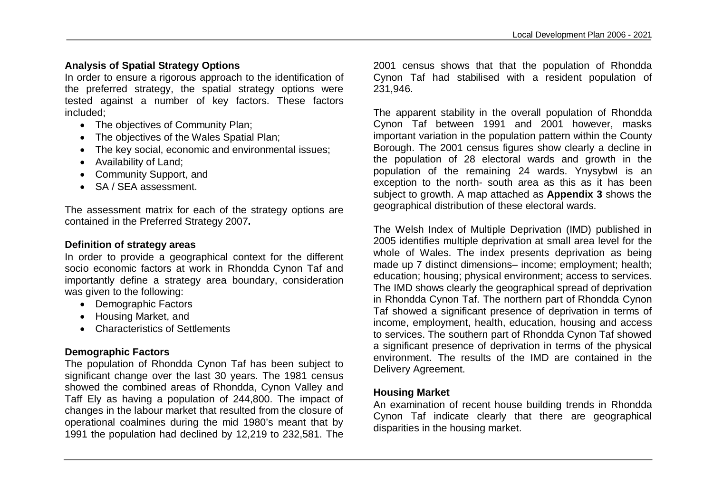# **Analysis of Spatial Strategy Options**

In order to ensure a rigorous approach to the identification of the preferred strategy, the spatial strategy options were tested against a number of key factors. These factors included;

- The objectives of Community Plan:
- The objectives of the Wales Spatial Plan;
- The key social, economic and environmental issues:
- Availability of Land;
- Community Support, and
- SA / SEA assessment.

The assessment matrix for each of the strategy options are contained in the Preferred Strategy 2007**.**

## **Definition of strategy areas**

In order to provide a geographical context for the different socio economic factors at work in Rhondda Cynon Taf and importantly define a strategy area boundary, consideration was given to the following:

- Demographic Factors
- Housing Market, and
- Characteristics of Settlements

## **Demographic Factors**

The population of Rhondda Cynon Taf has been subject to significant change over the last 30 years. The 1981 census showed the combined areas of Rhondda, Cynon Valley and Taff Ely as having a population of 244,800. The impact of changes in the labour market that resulted from the closure of operational coalmines during the mid 1980's meant that by 1991 the population had declined by 12,219 to 232,581. The 2001 census shows that that the population of Rhondda Cynon Taf had stabilised with a resident population of 231,946.

The apparent stability in the overall population of Rhondda Cynon Taf between 1991 and 2001 however, masks important variation in the population pattern within the County Borough. The 2001 census figures show clearly a decline in the population of 28 electoral wards and growth in the population of the remaining 24 wards. Ynysybwl is an exception to the north- south area as this as it has been subject to growth. A map attached as **Appendix 3** shows the geographical distribution of these electoral wards.

The Welsh Index of Multiple Deprivation (IMD) published in 2005 identifies multiple deprivation at small area level for the whole of Wales. The index presents deprivation as being made up 7 distinct dimensions– income; employment; health; education; housing; physical environment; access to services. The IMD shows clearly the geographical spread of deprivation in Rhondda Cynon Taf. The northern part of Rhondda Cynon Taf showed a significant presence of deprivation in terms of income, employment, health, education, housing and access to services. The southern part of Rhondda Cynon Taf showed a significant presence of deprivation in terms of the physical environment. The results of the IMD are contained in the Delivery Agreement.

## **Housing Market**

An examination of recent house building trends in Rhondda Cynon Taf indicate clearly that there are geographical disparities in the housing market.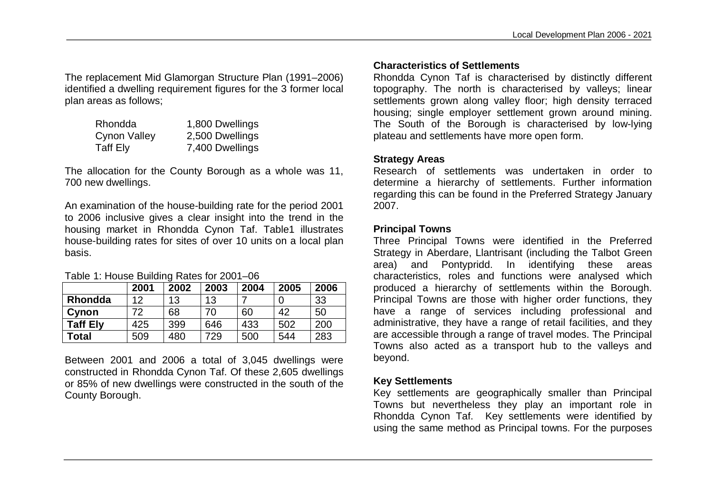The replacement Mid Glamorgan Structure Plan (1991–2006) identified a dwelling requirement figures for the 3 former local plan areas as follows;

| Rhondda      | 1,800 Dwellings |
|--------------|-----------------|
| Cynon Valley | 2,500 Dwellings |
| Taff Ely     | 7,400 Dwellings |

The allocation for the County Borough as a whole was 11, 700 new dwellings.

An examination of the house-building rate for the period 2001 to 2006 inclusive gives a clear insight into the trend in the housing market in Rhondda Cynon Taf. Table1 illustrates house-building rates for sites of over 10 units on a local plan basis.

#### Table 1: House Building Rates for 2001–06

|                 | 2001 | 2002 | 2003 | 2004 | 2005 | 2006 |
|-----------------|------|------|------|------|------|------|
| Rhondda         | 12   | 13   | 13   |      |      | 33   |
| Cynon           | 72   | 68   | 70   | 60   | 42   | 50   |
| <b>Taff Ely</b> | 425  | 399  | 646  | 433  | 502  | 200  |
| Total           | 509  | 480  | 729  | 500  | 544  | 283  |

Between 2001 and 2006 a total of 3,045 dwellings were constructed in Rhondda Cynon Taf. Of these 2,605 dwellings or 85% of new dwellings were constructed in the south of the County Borough.

# **Characteristics of Settlements**

Rhondda Cynon Taf is characterised by distinctly different topography. The north is characterised by valleys; linear settlements grown along valley floor; high density terraced housing; single employer settlement grown around mining. The South of the Borough is characterised by low-lying plateau and settlements have more open form.

#### **Strategy Areas**

Research of settlements was undertaken in order to determine a hierarchy of settlements. Further information regarding this can be found in the Preferred Strategy January 2007.

#### **Principal Towns**

Three Principal Towns were identified in the Preferred Strategy in Aberdare, Llantrisant (including the Talbot Green area) and Pontypridd. In identifying these areas characteristics, roles and functions were analysed which produced a hierarchy of settlements within the Borough. Principal Towns are those with higher order functions, they have a range of services including professional and administrative, they have a range of retail facilities, and they are accessible through a range of travel modes. The Principal Towns also acted as a transport hub to the valleys and beyond.

#### **Key Settlements**

Key settlements are geographically smaller than Principal Towns but nevertheless they play an important role in Rhondda Cynon Taf. Key settlements were identified by using the same method as Principal towns. For the purposes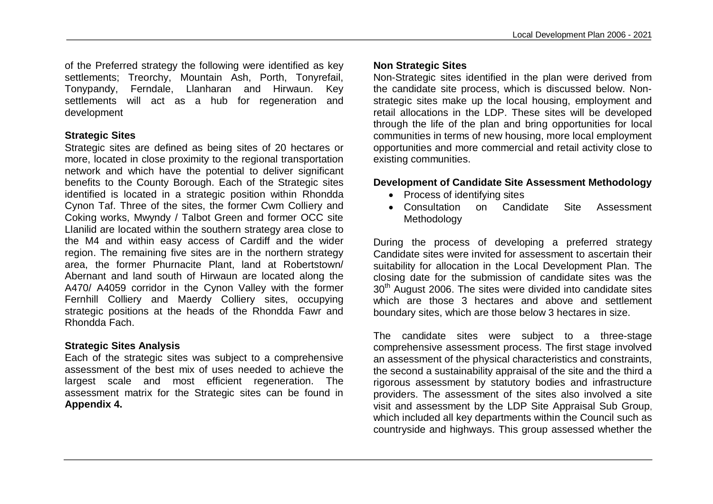of the Preferred strategy the following were identified as key settlements; Treorchy, Mountain Ash, Porth, Tonyrefail, Tonypandy, Ferndale, Llanharan and Hirwaun. Key settlements will act as a hub for regeneration and development

#### **Strategic Sites**

Strategic sites are defined as being sites of 20 hectares or more, located in close proximity to the regional transportation network and which have the potential to deliver significant benefits to the County Borough. Each of the Strategic sites identified is located in a strategic position within Rhondda Cynon Taf. Three of the sites, the former Cwm Colliery and Coking works, Mwyndy / Talbot Green and former OCC site Llanilid are located within the southern strategy area close to the M4 and within easy access of Cardiff and the wider region. The remaining five sites are in the northern strategy area, the former Phurnacite Plant, land at Robertstown/ Abernant and land south of Hirwaun are located along the A470/ A4059 corridor in the Cynon Valley with the former Fernhill Colliery and Maerdy Colliery sites, occupying strategic positions at the heads of the Rhondda Fawr and Rhondda Fach.

#### **Strategic Sites Analysis**

Each of the strategic sites was subject to a comprehensive assessment of the best mix of uses needed to achieve the largest scale and most efficient regeneration. The assessment matrix for the Strategic sites can be found in **Appendix 4.**

#### **Non Strategic Sites**

Non-Strategic sites identified in the plan were derived from the candidate site process, which is discussed below. Nonstrategic sites make up the local housing, employment and retail allocations in the LDP. These sites will be developed through the life of the plan and bring opportunities for local communities in terms of new housing, more local employment opportunities and more commercial and retail activity close to existing communities.

#### **Development of Candidate Site Assessment Methodology**

- Process of identifying sites
- Consultation on Candidate Site Assessment Methodology

During the process of developing a preferred strategy Candidate sites were invited for assessment to ascertain their suitability for allocation in the Local Development Plan. The closing date for the submission of candidate sites was the  $30<sup>th</sup>$  August 2006. The sites were divided into candidate sites which are those 3 hectares and above and settlement boundary sites, which are those below 3 hectares in size.

The candidate sites were subject to a three-stage comprehensive assessment process. The first stage involved an assessment of the physical characteristics and constraints, the second a sustainability appraisal of the site and the third a rigorous assessment by statutory bodies and infrastructure providers. The assessment of the sites also involved a site visit and assessment by the LDP Site Appraisal Sub Group, which included all key departments within the Council such as countryside and highways. This group assessed whether the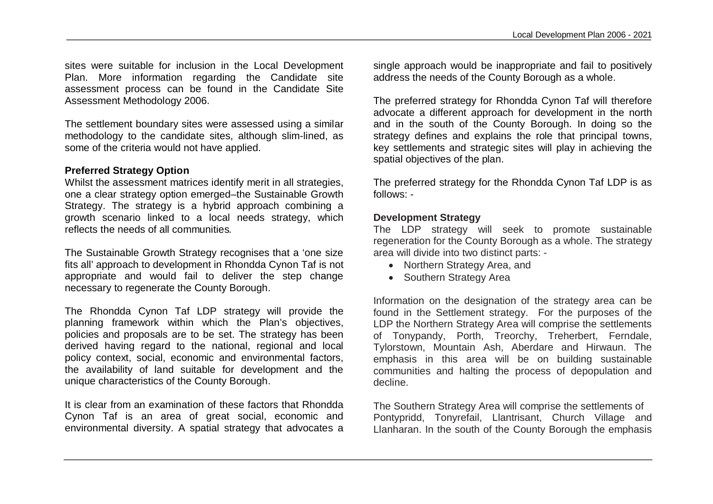sites were suitable for inclusion in the Local Development Plan. More information regarding the Candidate site assessment process can be found in the Candidate Site Assessment Methodology 2006.

The settlement boundary sites were assessed using a similar methodology to the candidate sites, although slim-lined, as some of the criteria would not have applied.

## **Preferred Strategy Option**

Whilst the assessment matrices identify merit in all strategies, one a clear strategy option emerged–the Sustainable Growth Strategy. The strategy is a hybrid approach combining a growth scenario linked to a local needs strategy, which reflects the needs of all communities*.*

The Sustainable Growth Strategy recognises that a 'one size fits all' approach to development in Rhondda Cynon Taf is not appropriate and would fail to deliver the step change necessary to regenerate the County Borough.

The Rhondda Cynon Taf LDP strategy will provide the planning framework within which the Plan's objectives, policies and proposals are to be set. The strategy has been derived having regard to the national, regional and local policy context, social, economic and environmental factors, the availability of land suitable for development and the unique characteristics of the County Borough.

It is clear from an examination of these factors that Rhondda Cynon Taf is an area of great social, economic and environmental diversity. A spatial strategy that advocates a single approach would be inappropriate and fail to positively address the needs of the County Borough as a whole.

The preferred strategy for Rhondda Cynon Taf will therefore advocate a different approach for development in the north and in the south of the County Borough. In doing so the strategy defines and explains the role that principal towns, key settlements and strategic sites will play in achieving the spatial objectives of the plan.

The preferred strategy for the Rhondda Cynon Taf LDP is as follows: -

#### **Development Strategy**

The LDP strategy will seek to promote sustainable regeneration for the County Borough as a whole. The strategy area will divide into two distinct parts: -

- Northern Strategy Area, and
- Southern Strategy Area

Information on the designation of the strategy area can be found in the Settlement strategy. For the purposes of the LDP the Northern Strategy Area will comprise the settlements of Tonypandy, Porth, Treorchy, Treherbert, Ferndale, Tylorstown, Mountain Ash, Aberdare and Hirwaun. The emphasis in this area will be on building sustainable communities and halting the process of depopulation and decline.

The Southern Strategy Area will comprise the settlements of Pontypridd, Tonyrefail, Llantrisant, Church Village and Llanharan. In the south of the County Borough the emphasis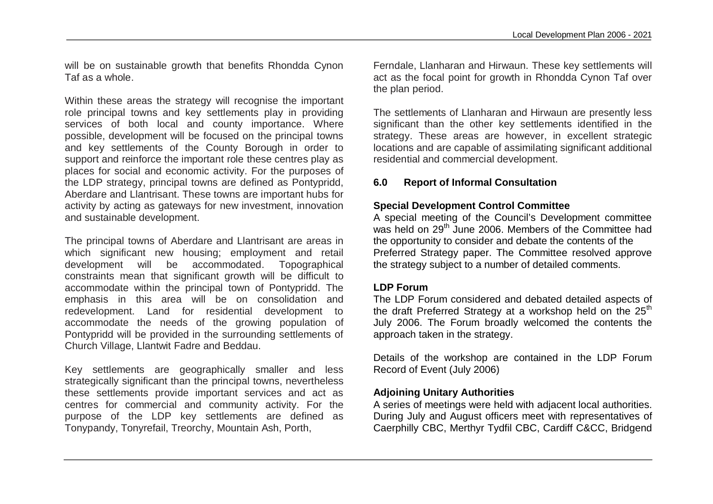will be on sustainable growth that benefits Rhondda Cynon Taf as a whole.

Within these areas the strategy will recognise the important role principal towns and key settlements play in providing services of both local and county importance. Where possible, development will be focused on the principal towns and key settlements of the County Borough in order to support and reinforce the important role these centres play as places for social and economic activity. For the purposes of the LDP strategy, principal towns are defined as Pontypridd, Aberdare and Llantrisant. These towns are important hubs for activity by acting as gateways for new investment, innovation and sustainable development.

The principal towns of Aberdare and Llantrisant are areas in which significant new housing; employment and retail development will be accommodated. Topographical constraints mean that significant growth will be difficult to accommodate within the principal town of Pontypridd. The emphasis in this area will be on consolidation and redevelopment. Land for residential development to accommodate the needs of the growing population of Pontypridd will be provided in the surrounding settlements of Church Village, Llantwit Fadre and Beddau.

Key settlements are geographically smaller and less strategically significant than the principal towns, nevertheless these settlements provide important services and act as centres for commercial and community activity. For the purpose of the LDP key settlements are defined as Tonypandy, Tonyrefail, Treorchy, Mountain Ash, Porth,

Ferndale, Llanharan and Hirwaun. These key settlements will act as the focal point for growth in Rhondda Cynon Taf over the plan period.

The settlements of Llanharan and Hirwaun are presently less significant than the other key settlements identified in the strategy. These areas are however, in excellent strategic locations and are capable of assimilating significant additional residential and commercial development.

#### **6.0 Report of Informal Consultation**

## **Special Development Control Committee**

A special meeting of the Council's Development committee was held on 29<sup>th</sup> June 2006. Members of the Committee had the opportunity to consider and debate the contents of the Preferred Strategy paper. The Committee resolved approve the strategy subject to a number of detailed comments.

#### **LDP Forum**

The LDP Forum considered and debated detailed aspects of the draft Preferred Strategy at a workshop held on the  $25<sup>th</sup>$ July 2006. The Forum broadly welcomed the contents the approach taken in the strategy.

Details of the workshop are contained in the LDP Forum Record of Event (July 2006)

## **Adjoining Unitary Authorities**

A series of meetings were held with adjacent local authorities. During July and August officers meet with representatives of Caerphilly CBC, Merthyr Tydfil CBC, Cardiff C&CC, Bridgend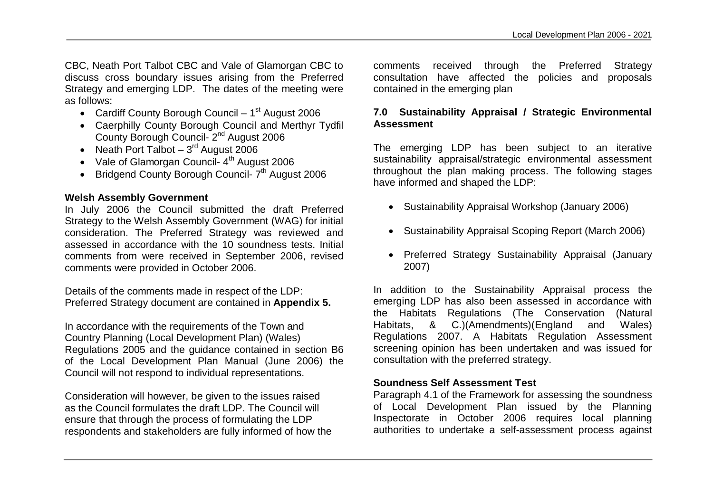CBC, Neath Port Talbot CBC and Vale of Glamorgan CBC to discuss cross boundary issues arising from the Preferred Strategy and emerging LDP. The dates of the meeting were as follows:

- Cardiff County Borough Council  $1<sup>st</sup>$  August 2006
- Caerphilly County Borough Council and Merthyr Tydfil County Borough Council- 2nd August 2006
- Neath Port Talbot  $3<sup>rd</sup>$  August 2006
- Vale of Glamorgan Council- $4<sup>th</sup>$  August 2006
- $\bullet$  Bridgend County Borough Council-  $7<sup>th</sup>$  August 2006

## **Welsh Assembly Government**

In July 2006 the Council submitted the draft Preferred Strategy to the Welsh Assembly Government (WAG) for initial consideration. The Preferred Strategy was reviewed and assessed in accordance with the 10 soundness tests. Initial comments from were received in September 2006, revised comments were provided in October 2006.

Details of the comments made in respect of the LDP: Preferred Strategy document are contained in **Appendix 5.**

In accordance with the requirements of the Town and Country Planning (Local Development Plan) (Wales) Regulations 2005 and the guidance contained in section B6 of the Local Development Plan Manual (June 2006) the Council will not respond to individual representations.

Consideration will however, be given to the issues raised as the Council formulates the draft LDP. The Council will ensure that through the process of formulating the LDP respondents and stakeholders are fully informed of how the comments received through the Preferred Strategy consultation have affected the policies and proposals contained in the emerging plan

# **7.0 Sustainability Appraisal / Strategic Environmental Assessment**

The emerging LDP has been subject to an iterative sustainability appraisal/strategic environmental assessment throughout the plan making process. The following stages have informed and shaped the LDP:

- Sustainability Appraisal Workshop (January 2006)
- Sustainability Appraisal Scoping Report (March 2006)
- Preferred Strategy Sustainability Appraisal (January 2007)

In addition to the Sustainability Appraisal process the emerging LDP has also been assessed in accordance with the Habitats Regulations (The Conservation (Natural Habitats, & C.)(Amendments)(England and Wales) Regulations 2007. A Habitats Regulation Assessment screening opinion has been undertaken and was issued for consultation with the preferred strategy.

# **Soundness Self Assessment Test**

Paragraph 4.1 of the Framework for assessing the soundness of Local Development Plan issued by the Planning Inspectorate in October 2006 requires local planning authorities to undertake a self-assessment process against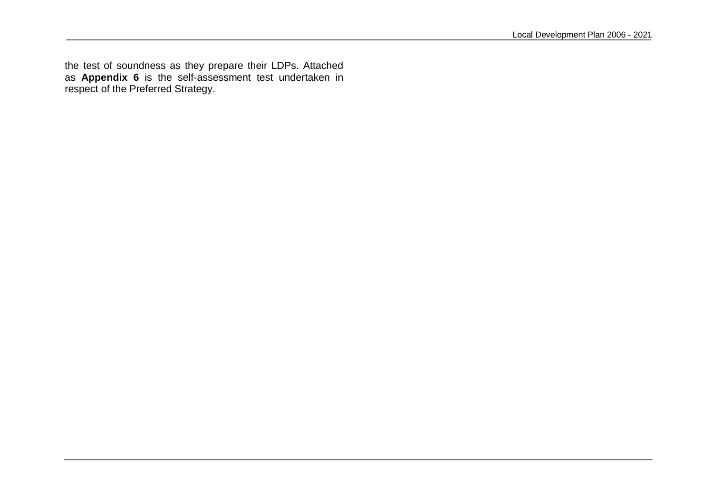the test of soundness as they prepare their LDPs. Attached as **Appendix 6** is the self-assessment test undertaken in respect of the Preferred Strategy.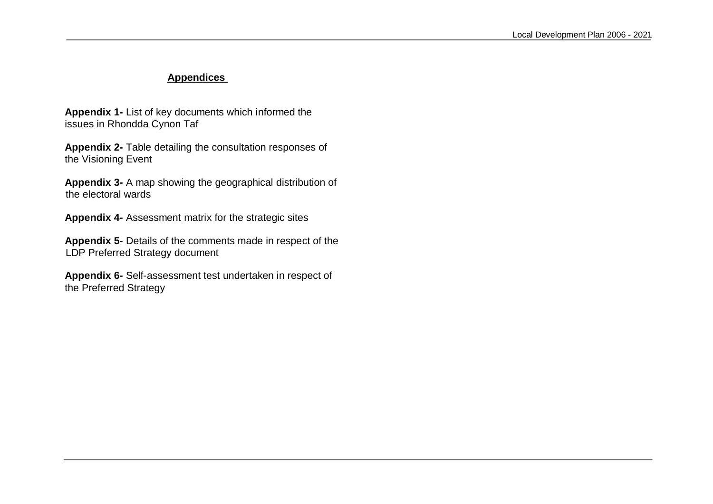# **Appendices**

**Appendix 1-** List of key documents which informed the issues in Rhondda Cynon Taf

**Appendix 2-** Table detailing the consultation responses of the Visioning Event

**Appendix 3-** A map showing the geographical distribution of the electoral wards

**Appendix 4-** Assessment matrix for the strategic sites

**Appendix 5-** Details of the comments made in respect of the LDP Preferred Strategy document

**Appendix 6-** Self-assessment test undertaken in respect of the Preferred Strategy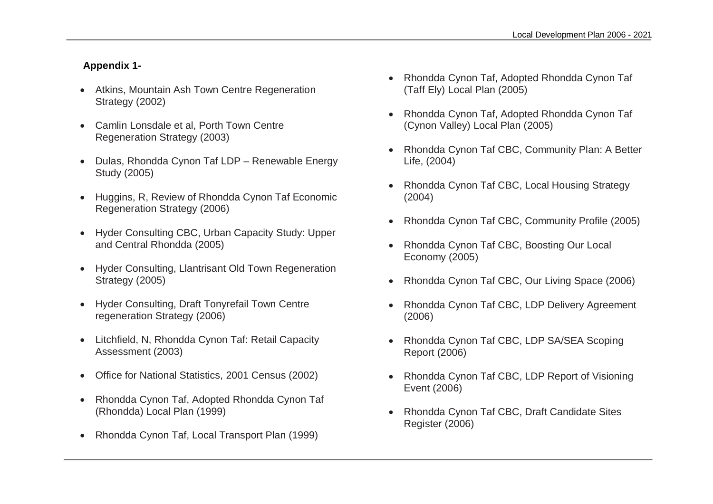# **Appendix 1-**

- Atkins, Mountain Ash Town Centre Regeneration Strategy (2002)
- Camlin Lonsdale et al, Porth Town Centre Regeneration Strategy (2003)
- Dulas, Rhondda Cynon Taf LDP Renewable Energy Study (2005)
- Huggins, R, Review of Rhondda Cynon Taf Economic Regeneration Strategy (2006)
- Hyder Consulting CBC, Urban Capacity Study: Upper and Central Rhondda (2005)
- Hyder Consulting, Llantrisant Old Town Regeneration Strategy (2005)
- Hyder Consulting, Draft Tonyrefail Town Centre regeneration Strategy (2006)
- Litchfield, N, Rhondda Cynon Taf: Retail Capacity Assessment (2003)
- Office for National Statistics, 2001 Census (2002)
- Rhondda Cynon Taf, Adopted Rhondda Cynon Taf (Rhondda) Local Plan (1999)
- Rhondda Cynon Taf, Local Transport Plan (1999)
- Rhondda Cynon Taf, Adopted Rhondda Cynon Taf (Taff Ely) Local Plan (2005)
- Rhondda Cynon Taf, Adopted Rhondda Cynon Taf (Cynon Valley) Local Plan (2005)
- Rhondda Cynon Taf CBC, Community Plan: A Better Life, (2004)
- Rhondda Cynon Taf CBC, Local Housing Strategy (2004)
- Rhondda Cynon Taf CBC, Community Profile (2005)
- Rhondda Cynon Taf CBC, Boosting Our Local Economy (2005)
- Rhondda Cynon Taf CBC, Our Living Space (2006)
- Rhondda Cynon Taf CBC, LDP Delivery Agreement (2006)
- Rhondda Cynon Taf CBC, LDP SA/SEA Scoping Report (2006)
- Rhondda Cynon Taf CBC, LDP Report of Visioning Event (2006)
- Rhondda Cynon Taf CBC, Draft Candidate Sites Register (2006)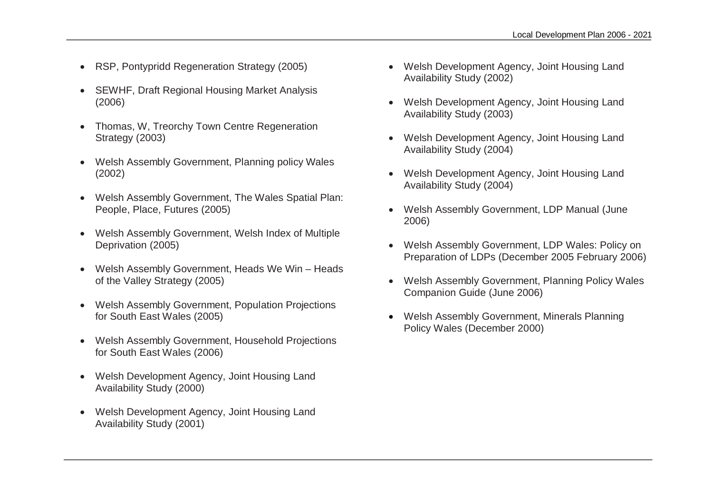- RSP, Pontypridd Regeneration Strategy (2005)
- SEWHF, Draft Regional Housing Market Analysis (2006)
- Thomas, W, Treorchy Town Centre Regeneration Strategy (2003)
- Welsh Assembly Government, Planning policy Wales (2002)
- Welsh Assembly Government, The Wales Spatial Plan: People, Place, Futures (2005)
- Welsh Assembly Government, Welsh Index of Multiple Deprivation (2005)
- Welsh Assembly Government, Heads We Win Heads of the Valley Strategy (2005)
- Welsh Assembly Government, Population Projections for South East Wales (2005)
- Welsh Assembly Government, Household Projections for South East Wales (2006)
- Welsh Development Agency, Joint Housing Land Availability Study (2000)
- Welsh Development Agency, Joint Housing Land Availability Study (2001)
- Welsh Development Agency, Joint Housing Land Availability Study (2002)
- Welsh Development Agency, Joint Housing Land Availability Study (2003)
- Welsh Development Agency, Joint Housing Land Availability Study (2004)
- Welsh Development Agency, Joint Housing Land Availability Study (2004)
- Welsh Assembly Government, LDP Manual (June 2006)
- Welsh Assembly Government, LDP Wales: Policy on Preparation of LDPs (December 2005 February 2006)
- Welsh Assembly Government, Planning Policy Wales Companion Guide (June 2006)
- Welsh Assembly Government, Minerals Planning Policy Wales (December 2000)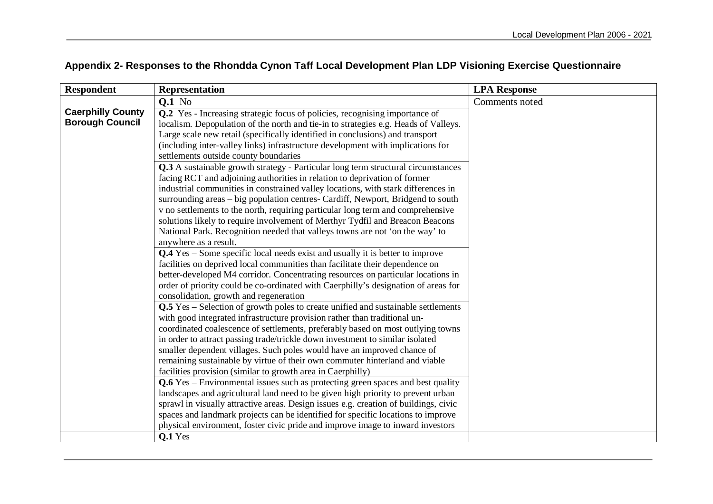| <b>Respondent</b>        | <b>Representation</b>                                                                                                                                 | <b>LPA Response</b> |
|--------------------------|-------------------------------------------------------------------------------------------------------------------------------------------------------|---------------------|
|                          | <b>Q.1</b> No                                                                                                                                         | Comments noted      |
| <b>Caerphilly County</b> | Q.2 Yes - Increasing strategic focus of policies, recognising importance of                                                                           |                     |
| <b>Borough Council</b>   | localism. Depopulation of the north and tie-in to strategies e.g. Heads of Valleys.                                                                   |                     |
|                          | Large scale new retail (specifically identified in conclusions) and transport                                                                         |                     |
|                          | (including inter-valley links) infrastructure development with implications for                                                                       |                     |
|                          | settlements outside county boundaries                                                                                                                 |                     |
|                          | <b>Q.3</b> A sustainable growth strategy - Particular long term structural circumstances                                                              |                     |
|                          | facing RCT and adjoining authorities in relation to deprivation of former                                                                             |                     |
|                          | industrial communities in constrained valley locations, with stark differences in                                                                     |                     |
|                          | surrounding areas – big population centres- Cardiff, Newport, Bridgend to south                                                                       |                     |
|                          | v no settlements to the north, requiring particular long term and comprehensive                                                                       |                     |
|                          | solutions likely to require involvement of Merthyr Tydfil and Breacon Beacons                                                                         |                     |
|                          | National Park. Recognition needed that valleys towns are not 'on the way' to                                                                          |                     |
|                          | anywhere as a result.                                                                                                                                 |                     |
|                          | <b>Q.4</b> Yes – Some specific local needs exist and usually it is better to improve                                                                  |                     |
|                          | facilities on deprived local communities than facilitate their dependence on                                                                          |                     |
|                          | better-developed M4 corridor. Concentrating resources on particular locations in                                                                      |                     |
|                          | order of priority could be co-ordinated with Caerphilly's designation of areas for                                                                    |                     |
|                          | consolidation, growth and regeneration                                                                                                                |                     |
|                          | Q.5 Yes – Selection of growth poles to create unified and sustainable settlements                                                                     |                     |
|                          | with good integrated infrastructure provision rather than traditional un-                                                                             |                     |
|                          | coordinated coalescence of settlements, preferably based on most outlying towns                                                                       |                     |
|                          | in order to attract passing trade/trickle down investment to similar isolated                                                                         |                     |
|                          | smaller dependent villages. Such poles would have an improved chance of                                                                               |                     |
|                          | remaining sustainable by virtue of their own commuter hinterland and viable                                                                           |                     |
|                          | facilities provision (similar to growth area in Caerphilly)<br><b>Q.6</b> Yes – Environmental issues such as protecting green spaces and best quality |                     |
|                          | landscapes and agricultural land need to be given high priority to prevent urban                                                                      |                     |
|                          | sprawl in visually attractive areas. Design issues e.g. creation of buildings, civic                                                                  |                     |
|                          | spaces and landmark projects can be identified for specific locations to improve                                                                      |                     |
|                          | physical environment, foster civic pride and improve image to inward investors                                                                        |                     |
|                          | Q.1 Yes                                                                                                                                               |                     |

# **Appendix 2- Responses to the Rhondda Cynon Taff Local Development Plan LDP Visioning Exercise Questionnaire**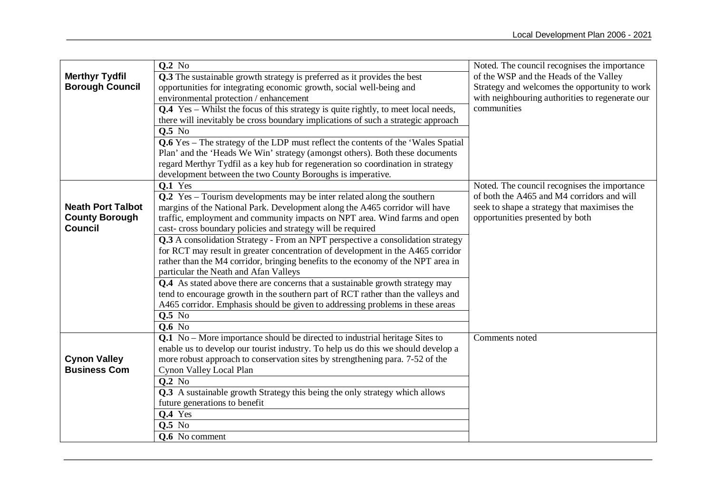|                          | Q.2 No                                                                                                                                                            | Noted. The council recognises the importance    |
|--------------------------|-------------------------------------------------------------------------------------------------------------------------------------------------------------------|-------------------------------------------------|
| <b>Merthyr Tydfil</b>    | Q.3 The sustainable growth strategy is preferred as it provides the best                                                                                          | of the WSP and the Heads of the Valley          |
| <b>Borough Council</b>   | opportunities for integrating economic growth, social well-being and                                                                                              | Strategy and welcomes the opportunity to work   |
|                          | environmental protection / enhancement                                                                                                                            | with neighbouring authorities to regenerate our |
|                          | Q.4 Yes - Whilst the focus of this strategy is quite rightly, to meet local needs,                                                                                | communities                                     |
|                          | there will inevitably be cross boundary implications of such a strategic approach                                                                                 |                                                 |
|                          | <b>Q.5</b> No                                                                                                                                                     |                                                 |
|                          | Q.6 Yes - The strategy of the LDP must reflect the contents of the 'Wales Spatial                                                                                 |                                                 |
|                          | Plan' and the 'Heads We Win' strategy (amongst others). Both these documents                                                                                      |                                                 |
|                          | regard Merthyr Tydfil as a key hub for regeneration so coordination in strategy                                                                                   |                                                 |
|                          | development between the two County Boroughs is imperative.                                                                                                        |                                                 |
|                          | <b>Q.1</b> Yes                                                                                                                                                    | Noted. The council recognises the importance    |
|                          | Q.2 Yes – Tourism developments may be inter related along the southern                                                                                            | of both the A465 and M4 corridors and will      |
| <b>Neath Port Talbot</b> | margins of the National Park. Development along the A465 corridor will have                                                                                       | seek to shape a strategy that maximises the     |
| <b>County Borough</b>    | traffic, employment and community impacts on NPT area. Wind farms and open                                                                                        | opportunities presented by both                 |
| <b>Council</b>           | cast-cross boundary policies and strategy will be required                                                                                                        |                                                 |
|                          | Q.3 A consolidation Strategy - From an NPT perspective a consolidation strategy                                                                                   |                                                 |
|                          | for RCT may result in greater concentration of development in the A465 corridor                                                                                   |                                                 |
|                          | rather than the M4 corridor, bringing benefits to the economy of the NPT area in                                                                                  |                                                 |
|                          | particular the Neath and Afan Valleys                                                                                                                             |                                                 |
|                          | Q.4 As stated above there are concerns that a sustainable growth strategy may<br>tend to encourage growth in the southern part of RCT rather than the valleys and |                                                 |
|                          | A465 corridor. Emphasis should be given to addressing problems in these areas                                                                                     |                                                 |
|                          | <b>Q.5</b> No                                                                                                                                                     |                                                 |
|                          | <b>Q.6</b> No                                                                                                                                                     |                                                 |
|                          | Q.1 No – More importance should be directed to industrial heritage Sites to                                                                                       | Comments noted                                  |
|                          | enable us to develop our tourist industry. To help us do this we should develop a                                                                                 |                                                 |
| <b>Cynon Valley</b>      | more robust approach to conservation sites by strengthening para. 7-52 of the                                                                                     |                                                 |
| <b>Business Com</b>      | Cynon Valley Local Plan                                                                                                                                           |                                                 |
|                          | <b>Q.2</b> No                                                                                                                                                     |                                                 |
|                          | Q.3 A sustainable growth Strategy this being the only strategy which allows                                                                                       |                                                 |
|                          | future generations to benefit                                                                                                                                     |                                                 |
|                          | $Q.4$ Yes                                                                                                                                                         |                                                 |
|                          | <b>Q.5</b> No                                                                                                                                                     |                                                 |
|                          | <b>Q.6</b> No comment                                                                                                                                             |                                                 |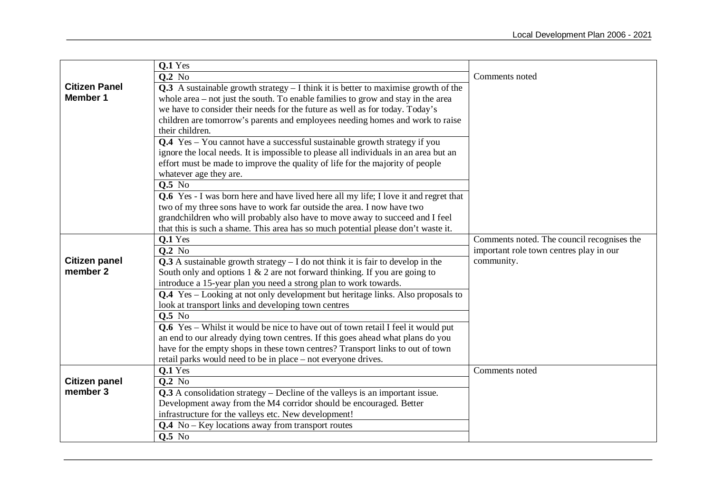|                                  | Q.1 Yes                                                                                     |                                            |
|----------------------------------|---------------------------------------------------------------------------------------------|--------------------------------------------|
|                                  | $Q.2$ No                                                                                    | Comments noted                             |
| <b>Citizen Panel</b>             | <b>Q.3</b> A sustainable growth strategy $- I$ think it is better to maximise growth of the |                                            |
| <b>Member 1</b>                  | whole area $-$ not just the south. To enable families to grow and stay in the area          |                                            |
|                                  | we have to consider their needs for the future as well as for today. Today's                |                                            |
|                                  | children are tomorrow's parents and employees needing homes and work to raise               |                                            |
|                                  | their children.                                                                             |                                            |
|                                  | Q.4 Yes - You cannot have a successful sustainable growth strategy if you                   |                                            |
|                                  | ignore the local needs. It is impossible to please all individuals in an area but an        |                                            |
|                                  | effort must be made to improve the quality of life for the majority of people               |                                            |
|                                  | whatever age they are.                                                                      |                                            |
|                                  | Q.5 No                                                                                      |                                            |
|                                  | <b>Q.6</b> Yes - I was born here and have lived here all my life; I love it and regret that |                                            |
|                                  | two of my three sons have to work far outside the area. I now have two                      |                                            |
|                                  | grandchildren who will probably also have to move away to succeed and I feel                |                                            |
|                                  | that this is such a shame. This area has so much potential please don't waste it.           |                                            |
|                                  | Q.1 Yes                                                                                     | Comments noted. The council recognises the |
|                                  | $Q.2$ No                                                                                    | important role town centres play in our    |
| <b>Citizen panel</b>             | $Q.3$ A sustainable growth strategy $- I$ do not think it is fair to develop in the         | community.                                 |
| member 2                         | South only and options $1 \& 2$ are not forward thinking. If you are going to               |                                            |
|                                  | introduce a 15-year plan you need a strong plan to work towards.                            |                                            |
|                                  | Q.4 Yes – Looking at not only development but heritage links. Also proposals to             |                                            |
|                                  | look at transport links and developing town centres                                         |                                            |
|                                  | <b>Q.5</b> No                                                                               |                                            |
|                                  | <b>Q.6</b> Yes – Whilst it would be nice to have out of town retail I feel it would put     |                                            |
|                                  | an end to our already dying town centres. If this goes ahead what plans do you              |                                            |
|                                  | have for the empty shops in these town centres? Transport links to out of town              |                                            |
|                                  | retail parks would need to be in place – not everyone drives.                               |                                            |
|                                  | Q.1 Yes                                                                                     | Comments noted                             |
| <b>Citizen panel</b><br>member 3 | <b>Q.2</b> No                                                                               |                                            |
|                                  | $Q.3$ A consolidation strategy – Decline of the valleys is an important issue.              |                                            |
|                                  | Development away from the M4 corridor should be encouraged. Better                          |                                            |
|                                  | infrastructure for the valleys etc. New development!                                        |                                            |
|                                  |                                                                                             |                                            |
|                                  | $Q.4$ No – Key locations away from transport routes<br>$0.5$ No                             |                                            |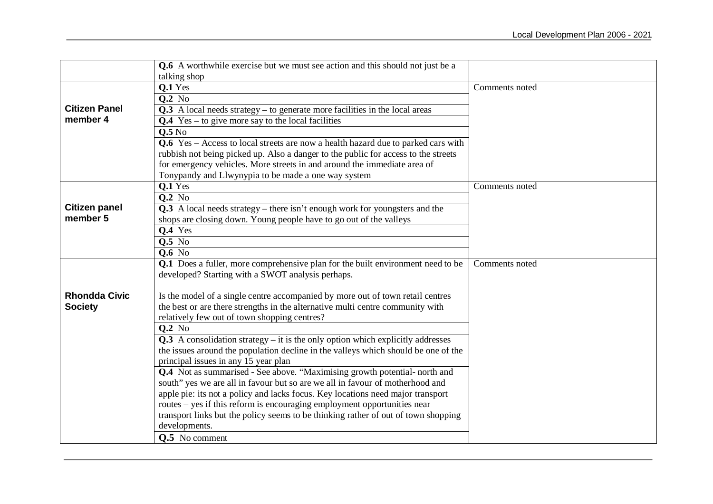|                      | <b>Q.6</b> A worthwhile exercise but we must see action and this should not just be a |                |
|----------------------|---------------------------------------------------------------------------------------|----------------|
|                      | talking shop                                                                          |                |
|                      | Q.1 Yes                                                                               | Comments noted |
|                      | <b>Q.2</b> No                                                                         |                |
| <b>Citizen Panel</b> | $Q.3$ A local needs strategy – to generate more facilities in the local areas         |                |
| member 4             | $Q.4$ Yes – to give more say to the local facilities                                  |                |
|                      | Q.5N <sub>0</sub>                                                                     |                |
|                      | Q.6 Yes - Access to local streets are now a health hazard due to parked cars with     |                |
|                      | rubbish not being picked up. Also a danger to the public for access to the streets    |                |
|                      | for emergency vehicles. More streets in and around the immediate area of              |                |
|                      | Tonypandy and Llwynypia to be made a one way system                                   |                |
|                      | Q.1 Yes                                                                               | Comments noted |
|                      | $Q.2$ No                                                                              |                |
| <b>Citizen panel</b> | $Q.3$ A local needs strategy – there isn't enough work for youngsters and the         |                |
| member 5             | shops are closing down. Young people have to go out of the valleys                    |                |
|                      | <b>Q.4</b> Yes                                                                        |                |
|                      | $Q.5$ No                                                                              |                |
|                      | <b>Q.6</b> No                                                                         |                |
|                      | Q.1 Does a fuller, more comprehensive plan for the built environment need to be       | Comments noted |
|                      | developed? Starting with a SWOT analysis perhaps.                                     |                |
|                      |                                                                                       |                |
| <b>Rhondda Civic</b> | Is the model of a single centre accompanied by more out of town retail centres        |                |
| <b>Society</b>       | the best or are there strengths in the alternative multi centre community with        |                |
|                      | relatively few out of town shopping centres?                                          |                |
|                      | <b>Q.2</b> No                                                                         |                |
|                      | $Q.3$ A consolidation strategy – it is the only option which explicitly addresses     |                |
|                      | the issues around the population decline in the valleys which should be one of the    |                |
|                      | principal issues in any 15 year plan                                                  |                |
|                      | Q.4 Not as summarised - See above. "Maximising growth potential- north and            |                |
|                      | south" yes we are all in favour but so are we all in favour of motherhood and         |                |
|                      | apple pie: its not a policy and lacks focus. Key locations need major transport       |                |
|                      | routes – yes if this reform is encouraging employment opportunities near              |                |
|                      | transport links but the policy seems to be thinking rather of out of town shopping    |                |
|                      | developments.                                                                         |                |
|                      | <b>Q.5</b> No comment                                                                 |                |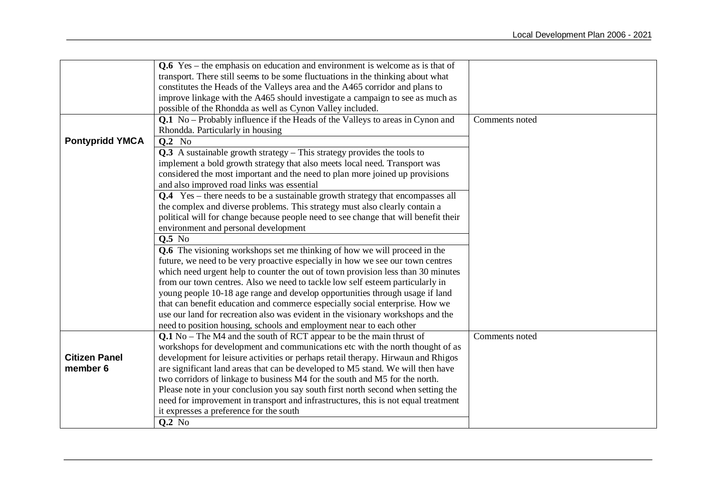|                        | $Q.6$ Yes – the emphasis on education and environment is welcome as is that of        |                |
|------------------------|---------------------------------------------------------------------------------------|----------------|
|                        | transport. There still seems to be some fluctuations in the thinking about what       |                |
|                        | constitutes the Heads of the Valleys area and the A465 corridor and plans to          |                |
|                        | improve linkage with the A465 should investigate a campaign to see as much as         |                |
|                        | possible of the Rhondda as well as Cynon Valley included.                             |                |
|                        | Q.1 No - Probably influence if the Heads of the Valleys to areas in Cynon and         | Comments noted |
|                        | Rhondda. Particularly in housing                                                      |                |
| <b>Pontypridd YMCA</b> | <b>Q.2</b> No                                                                         |                |
|                        | $Q.3$ A sustainable growth strategy – This strategy provides the tools to             |                |
|                        | implement a bold growth strategy that also meets local need. Transport was            |                |
|                        | considered the most important and the need to plan more joined up provisions          |                |
|                        | and also improved road links was essential                                            |                |
|                        | <b>Q.4</b> Yes – there needs to be a sustainable growth strategy that encompasses all |                |
|                        | the complex and diverse problems. This strategy must also clearly contain a           |                |
|                        | political will for change because people need to see change that will benefit their   |                |
|                        | environment and personal development                                                  |                |
|                        | <b>0.5</b> No                                                                         |                |
|                        | Q.6 The visioning workshops set me thinking of how we will proceed in the             |                |
|                        | future, we need to be very proactive especially in how we see our town centres        |                |
|                        | which need urgent help to counter the out of town provision less than 30 minutes      |                |
|                        | from our town centres. Also we need to tackle low self esteem particularly in         |                |
|                        | young people 10-18 age range and develop opportunities through usage if land          |                |
|                        | that can benefit education and commerce especially social enterprise. How we          |                |
|                        | use our land for recreation also was evident in the visionary workshops and the       |                |
|                        | need to position housing, schools and employment near to each other                   |                |
|                        | $Q.1$ No – The M4 and the south of RCT appear to be the main thrust of                | Comments noted |
|                        | workshops for development and communications etc with the north thought of as         |                |
| <b>Citizen Panel</b>   | development for leisure activities or perhaps retail therapy. Hirwaun and Rhigos      |                |
| member 6               | are significant land areas that can be developed to M5 stand. We will then have       |                |
|                        | two corridors of linkage to business M4 for the south and M5 for the north.           |                |
|                        | Please note in your conclusion you say south first north second when setting the      |                |
|                        | need for improvement in transport and infrastructures, this is not equal treatment    |                |
|                        | it expresses a preference for the south                                               |                |
|                        | $Q.2$ No                                                                              |                |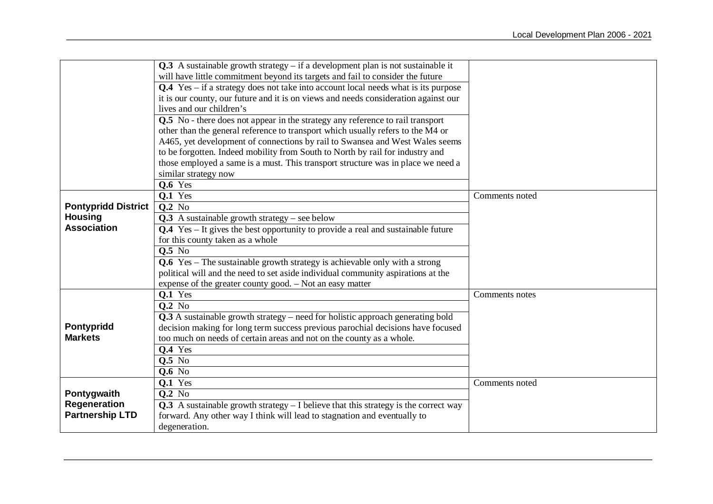|                            | $Q.3$ A sustainable growth strategy – if a development plan is not sustainable it            |                |
|----------------------------|----------------------------------------------------------------------------------------------|----------------|
|                            | will have little commitment beyond its targets and fail to consider the future               |                |
|                            | $Q.4$ Yes – if a strategy does not take into account local needs what is its purpose         |                |
|                            | it is our county, our future and it is on views and needs consideration against our          |                |
|                            | lives and our children's                                                                     |                |
|                            | Q.5 No - there does not appear in the strategy any reference to rail transport               |                |
|                            | other than the general reference to transport which usually refers to the M4 or              |                |
|                            | A465, yet development of connections by rail to Swansea and West Wales seems                 |                |
|                            | to be forgotten. Indeed mobility from South to North by rail for industry and                |                |
|                            | those employed a same is a must. This transport structure was in place we need a             |                |
|                            | similar strategy now                                                                         |                |
|                            | Q.6 Yes                                                                                      |                |
|                            | Q.1 Yes                                                                                      | Comments noted |
| <b>Pontypridd District</b> | <b>Q.2</b> No                                                                                |                |
| <b>Housing</b>             | Q.3 A sustainable growth strategy – see below                                                |                |
| <b>Association</b>         | <b>Q.4</b> Yes – It gives the best opportunity to provide a real and sustainable future      |                |
|                            | for this county taken as a whole                                                             |                |
|                            | Q.5 No                                                                                       |                |
|                            | $Q.6$ Yes – The sustainable growth strategy is achievable only with a strong                 |                |
|                            | political will and the need to set aside individual community aspirations at the             |                |
|                            | expense of the greater county good. - Not an easy matter                                     |                |
|                            | $Q.1$ Yes                                                                                    | Comments notes |
|                            | <b>Q.2</b> No                                                                                |                |
|                            | $\overline{Q.3}$ A sustainable growth strategy – need for holistic approach generating bold  |                |
| Pontypridd                 | decision making for long term success previous parochial decisions have focused              |                |
| <b>Markets</b>             | too much on needs of certain areas and not on the county as a whole.                         |                |
|                            | Q.4 Yes                                                                                      |                |
|                            | $Q.5$ No                                                                                     |                |
|                            | <b>Q.6</b> No                                                                                |                |
|                            | $0.1$ Yes                                                                                    | Comments noted |
| Pontygwaith                | <b>Q.2</b> No                                                                                |                |
| <b>Regeneration</b>        | <b>Q.3</b> A sustainable growth strategy $- I$ believe that this strategy is the correct way |                |
| <b>Partnership LTD</b>     | forward. Any other way I think will lead to stagnation and eventually to                     |                |
|                            | degeneration.                                                                                |                |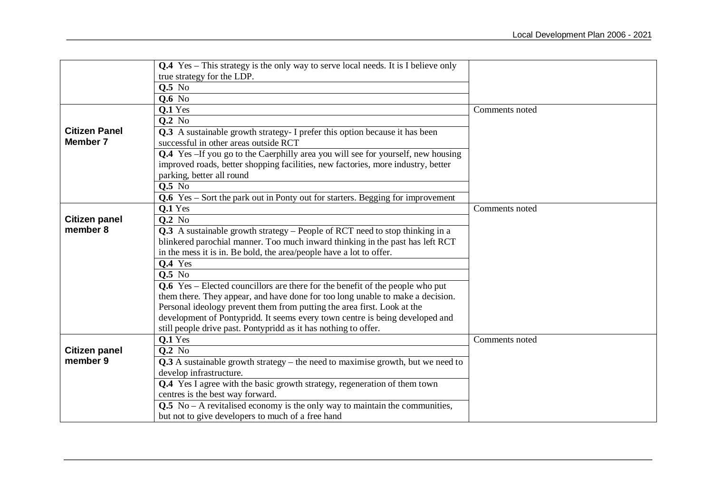|                      | <b>Q.4</b> Yes – This strategy is the only way to serve local needs. It is I believe only |                |
|----------------------|-------------------------------------------------------------------------------------------|----------------|
|                      | true strategy for the LDP.                                                                |                |
|                      | <b>Q.5</b> No                                                                             |                |
|                      | <b>Q.6 No</b>                                                                             |                |
|                      | Q.1 Yes                                                                                   | Comments noted |
|                      | <b>Q.2</b> No                                                                             |                |
| <b>Citizen Panel</b> | Q.3 A sustainable growth strategy- I prefer this option because it has been               |                |
| <b>Member 7</b>      | successful in other areas outside RCT                                                     |                |
|                      | <b>Q.4</b> Yes -If you go to the Caerphilly area you will see for yourself, new housing   |                |
|                      | improved roads, better shopping facilities, new factories, more industry, better          |                |
|                      | parking, better all round                                                                 |                |
|                      | <b>Q.5</b> No                                                                             |                |
|                      | Q.6 Yes – Sort the park out in Ponty out for starters. Begging for improvement            |                |
|                      | $0.1$ Yes                                                                                 | Comments noted |
| <b>Citizen panel</b> | <b>Q.2</b> No                                                                             |                |
| member 8             | Q.3 A sustainable growth strategy – People of RCT need to stop thinking in a              |                |
|                      | blinkered parochial manner. Too much inward thinking in the past has left RCT             |                |
|                      | in the mess it is in. Be bold, the area/people have a lot to offer.                       |                |
|                      | Q.4 Yes                                                                                   |                |
|                      | <b>0.5</b> No                                                                             |                |
|                      | $Q.6$ Yes – Elected councillors are there for the benefit of the people who put           |                |
|                      | them there. They appear, and have done for too long unable to make a decision.            |                |
|                      | Personal ideology prevent them from putting the area first. Look at the                   |                |
|                      | development of Pontypridd. It seems every town centre is being developed and              |                |
|                      | still people drive past. Pontypridd as it has nothing to offer.                           |                |
|                      | Q.1 Yes                                                                                   | Comments noted |
| <b>Citizen panel</b> | <b>Q.2</b> No                                                                             |                |
| member 9             | $Q.3$ A sustainable growth strategy – the need to maximise growth, but we need to         |                |
|                      | develop infrastructure.                                                                   |                |
|                      | Q.4 Yes I agree with the basic growth strategy, regeneration of them town                 |                |
|                      | centres is the best way forward.                                                          |                |
|                      | $Q.5$ No – A revitalised economy is the only way to maintain the communities,             |                |
|                      | but not to give developers to much of a free hand                                         |                |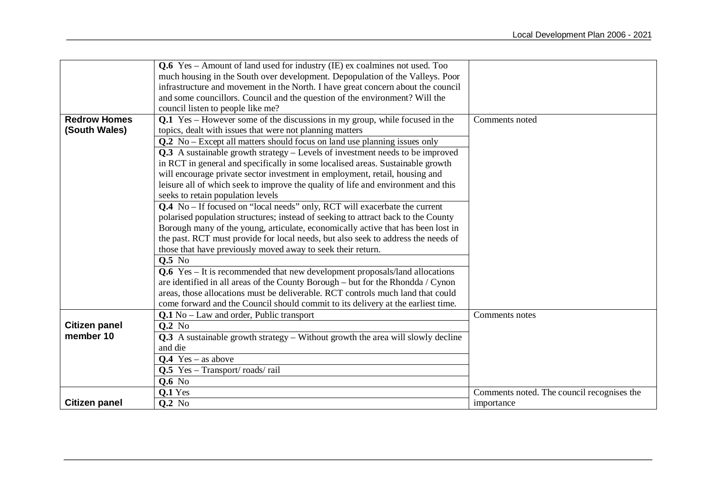|                      | <b>Q.6</b> Yes – Amount of land used for industry (IE) ex coalmines not used. Too      |                                            |
|----------------------|----------------------------------------------------------------------------------------|--------------------------------------------|
|                      | much housing in the South over development. Depopulation of the Valleys. Poor          |                                            |
|                      | infrastructure and movement in the North. I have great concern about the council       |                                            |
|                      | and some councillors. Council and the question of the environment? Will the            |                                            |
|                      | council listen to people like me?                                                      |                                            |
| <b>Redrow Homes</b>  | Q.1 Yes – However some of the discussions in my group, while focused in the            | Comments noted                             |
| (South Wales)        | topics, dealt with issues that were not planning matters                               |                                            |
|                      | Q.2 No – Except all matters should focus on land use planning issues only              |                                            |
|                      | Q.3 A sustainable growth strategy - Levels of investment needs to be improved          |                                            |
|                      | in RCT in general and specifically in some localised areas. Sustainable growth         |                                            |
|                      | will encourage private sector investment in employment, retail, housing and            |                                            |
|                      | leisure all of which seek to improve the quality of life and environment and this      |                                            |
|                      | seeks to retain population levels                                                      |                                            |
|                      | <b>Q.4</b> No – If focused on "local needs" only, RCT will exacerbate the current      |                                            |
|                      | polarised population structures; instead of seeking to attract back to the County      |                                            |
|                      | Borough many of the young, articulate, economically active that has been lost in       |                                            |
|                      | the past. RCT must provide for local needs, but also seek to address the needs of      |                                            |
|                      | those that have previously moved away to seek their return.                            |                                            |
|                      | <b>Q.5</b> No                                                                          |                                            |
|                      | <b>Q.6</b> Yes – It is recommended that new development proposals/land allocations     |                                            |
|                      | are identified in all areas of the County Borough - but for the Rhondda / Cynon        |                                            |
|                      | areas, those allocations must be deliverable. RCT controls much land that could        |                                            |
|                      | come forward and the Council should commit to its delivery at the earliest time.       |                                            |
|                      | <b>Q.1</b> No – Law and order, Public transport                                        | Comments notes                             |
| <b>Citizen panel</b> | <b>Q.2</b> No                                                                          |                                            |
| member 10            | <b>Q.3</b> A sustainable growth strategy – Without growth the area will slowly decline |                                            |
|                      | and die                                                                                |                                            |
|                      | $Q.4$ Yes – as above                                                                   |                                            |
|                      | Q.5 Yes - Transport/roads/rail                                                         |                                            |
|                      | <b>Q.6</b> No                                                                          |                                            |
|                      | Q.1 Yes                                                                                | Comments noted. The council recognises the |
| <b>Citizen panel</b> | Q.2 No                                                                                 | importance                                 |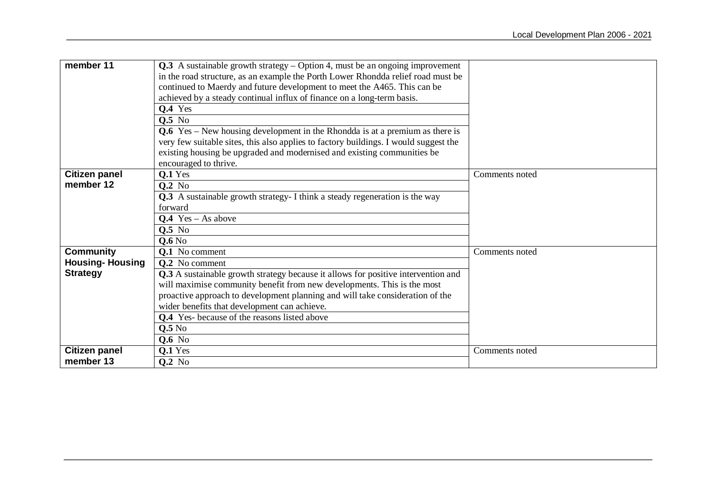| member 11                         | Q.3 A sustainable growth strategy – Option 4, must be an ongoing improvement<br>in the road structure, as an example the Porth Lower Rhondda relief road must be<br>continued to Maerdy and future development to meet the A465. This can be<br>achieved by a steady continual influx of finance on a long-term basis.<br>$Q.4$ Yes<br><b>Q.5</b> No<br>$Q.6$ Yes – New housing development in the Rhondda is at a premium as there is |                |
|-----------------------------------|----------------------------------------------------------------------------------------------------------------------------------------------------------------------------------------------------------------------------------------------------------------------------------------------------------------------------------------------------------------------------------------------------------------------------------------|----------------|
|                                   | very few suitable sites, this also applies to factory buildings. I would suggest the<br>existing housing be upgraded and modernised and existing communities be<br>encouraged to thrive.                                                                                                                                                                                                                                               |                |
|                                   |                                                                                                                                                                                                                                                                                                                                                                                                                                        |                |
| <b>Citizen panel</b><br>member 12 | $Q.1$ Yes                                                                                                                                                                                                                                                                                                                                                                                                                              | Comments noted |
|                                   | <b>Q.2</b> No                                                                                                                                                                                                                                                                                                                                                                                                                          |                |
|                                   | Q.3 A sustainable growth strategy- I think a steady regeneration is the way                                                                                                                                                                                                                                                                                                                                                            |                |
|                                   | forward                                                                                                                                                                                                                                                                                                                                                                                                                                |                |
|                                   | $Q.4$ Yes – As above                                                                                                                                                                                                                                                                                                                                                                                                                   |                |
|                                   | <b>0.5</b> No                                                                                                                                                                                                                                                                                                                                                                                                                          |                |
|                                   | 0.6N <sub>0</sub>                                                                                                                                                                                                                                                                                                                                                                                                                      |                |
| <b>Community</b>                  | Q.1 No comment                                                                                                                                                                                                                                                                                                                                                                                                                         | Comments noted |
| <b>Housing-Housing</b>            | <b>O.2</b> No comment                                                                                                                                                                                                                                                                                                                                                                                                                  |                |
| <b>Strategy</b>                   | Q.3 A sustainable growth strategy because it allows for positive intervention and                                                                                                                                                                                                                                                                                                                                                      |                |
|                                   | will maximise community benefit from new developments. This is the most                                                                                                                                                                                                                                                                                                                                                                |                |
|                                   | proactive approach to development planning and will take consideration of the                                                                                                                                                                                                                                                                                                                                                          |                |
|                                   | wider benefits that development can achieve.                                                                                                                                                                                                                                                                                                                                                                                           |                |
|                                   | <b>Q.4</b> Yes- because of the reasons listed above                                                                                                                                                                                                                                                                                                                                                                                    |                |
|                                   | Q.5N <sub>0</sub>                                                                                                                                                                                                                                                                                                                                                                                                                      |                |
|                                   | <b>Q.6</b> No                                                                                                                                                                                                                                                                                                                                                                                                                          |                |
| <b>Citizen panel</b>              | Q.1 Yes                                                                                                                                                                                                                                                                                                                                                                                                                                | Comments noted |
| member 13                         | <b>Q.2</b> No                                                                                                                                                                                                                                                                                                                                                                                                                          |                |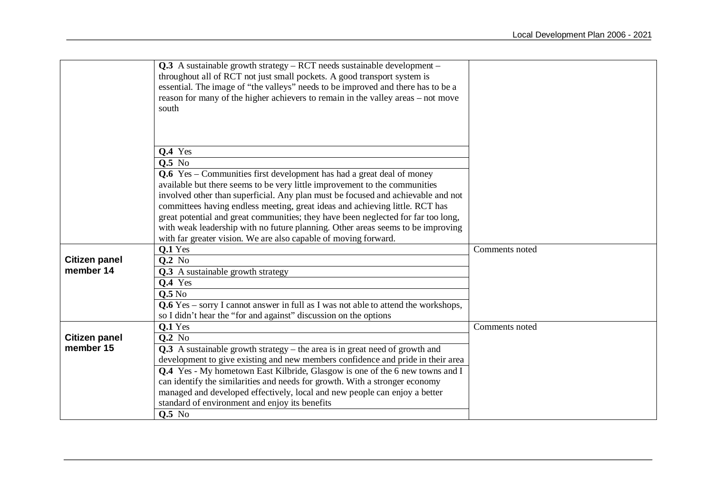|                      | $Q.3$ A sustainable growth strategy – RCT needs sustainable development –                    |                |
|----------------------|----------------------------------------------------------------------------------------------|----------------|
|                      | throughout all of RCT not just small pockets. A good transport system is                     |                |
|                      | essential. The image of "the valleys" needs to be improved and there has to be a             |                |
|                      | reason for many of the higher achievers to remain in the valley areas – not move             |                |
|                      | south                                                                                        |                |
|                      |                                                                                              |                |
|                      |                                                                                              |                |
|                      | <b>Q.4</b> Yes                                                                               |                |
|                      | <b>Q.5</b> No                                                                                |                |
|                      | <b>Q.6</b> Yes – Communities first development has had a great deal of money                 |                |
|                      | available but there seems to be very little improvement to the communities                   |                |
|                      | involved other than superficial. Any plan must be focused and achievable and not             |                |
|                      | committees having endless meeting, great ideas and achieving little. RCT has                 |                |
|                      | great potential and great communities; they have been neglected for far too long,            |                |
|                      | with weak leadership with no future planning. Other areas seems to be improving              |                |
|                      | with far greater vision. We are also capable of moving forward.                              |                |
|                      | Q.1 Yes                                                                                      | Comments noted |
| <b>Citizen panel</b> | $Q.2$ No                                                                                     |                |
| member 14            | <b>Q.3</b> A sustainable growth strategy                                                     |                |
|                      | <b>Q.4</b> Yes                                                                               |                |
|                      | 0.5N <sub>0</sub>                                                                            |                |
|                      | $Q.6$ Yes – sorry I cannot answer in full as I was not able to attend the workshops,         |                |
|                      | so I didn't hear the "for and against" discussion on the options                             |                |
| <b>Citizen panel</b> | Q.1 Yes                                                                                      | Comments noted |
| member 15            | <b>Q.2</b> No<br>Q.3 A sustainable growth strategy – the area is in great need of growth and |                |
|                      | development to give existing and new members confidence and pride in their area              |                |
|                      | Q.4 Yes - My hometown East Kilbride, Glasgow is one of the 6 new towns and I                 |                |
|                      | can identify the similarities and needs for growth. With a stronger economy                  |                |
|                      | managed and developed effectively, local and new people can enjoy a better                   |                |
|                      | standard of environment and enjoy its benefits                                               |                |
|                      | <b>Q.5</b> No                                                                                |                |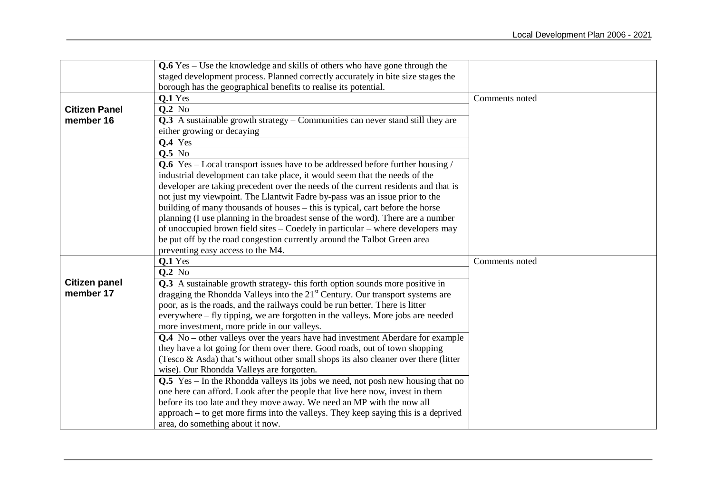|                      | $Q.6$ Yes – Use the knowledge and skills of others who have gone through the                                                                                         |                |
|----------------------|----------------------------------------------------------------------------------------------------------------------------------------------------------------------|----------------|
|                      | staged development process. Planned correctly accurately in bite size stages the                                                                                     |                |
|                      | borough has the geographical benefits to realise its potential.                                                                                                      |                |
|                      | $Q.1$ Yes                                                                                                                                                            | Comments noted |
| <b>Citizen Panel</b> | $Q.2$ No                                                                                                                                                             |                |
| member 16            | <b>Q.3</b> A sustainable growth strategy – Communities can never stand still they are                                                                                |                |
|                      | either growing or decaying                                                                                                                                           |                |
|                      | <b>Q.4</b> Yes                                                                                                                                                       |                |
|                      | <b>Q.5</b> No                                                                                                                                                        |                |
|                      | <b>Q.6</b> Yes – Local transport issues have to be addressed before further housing /                                                                                |                |
|                      | industrial development can take place, it would seem that the needs of the                                                                                           |                |
|                      | developer are taking precedent over the needs of the current residents and that is                                                                                   |                |
|                      | not just my viewpoint. The Llantwit Fadre by-pass was an issue prior to the                                                                                          |                |
|                      | building of many thousands of houses – this is typical, cart before the horse                                                                                        |                |
|                      | planning (I use planning in the broadest sense of the word). There are a number                                                                                      |                |
|                      | of unoccupied brown field sites – Coedely in particular – where developers may                                                                                       |                |
|                      | be put off by the road congestion currently around the Talbot Green area                                                                                             |                |
|                      | preventing easy access to the M4.                                                                                                                                    |                |
|                      | $Q.1$ Yes                                                                                                                                                            | Comments noted |
|                      | <b>Q.2</b> No                                                                                                                                                        |                |
| <b>Citizen panel</b> | Q.3 A sustainable growth strategy- this forth option sounds more positive in                                                                                         |                |
| member 17            | dragging the Rhondda Valleys into the 21 <sup>st</sup> Century. Our transport systems are                                                                            |                |
|                      | poor, as is the roads, and the railways could be run better. There is litter                                                                                         |                |
|                      | everywhere – fly tipping, we are forgotten in the valleys. More jobs are needed                                                                                      |                |
|                      | more investment, more pride in our valleys.                                                                                                                          |                |
|                      | <b>Q.4</b> No – other valleys over the years have had investment Aberdare for example<br>they have a lot going for them over there. Good roads, out of town shopping |                |
|                      | (Tesco & Asda) that's without other small shops its also cleaner over there (litter                                                                                  |                |
|                      | wise). Our Rhondda Valleys are forgotten.                                                                                                                            |                |
|                      | Q.5 Yes – In the Rhondda valleys its jobs we need, not posh new housing that no                                                                                      |                |
|                      | one here can afford. Look after the people that live here now, invest in them                                                                                        |                |
|                      | before its too late and they move away. We need an MP with the now all                                                                                               |                |
|                      | approach – to get more firms into the valleys. They keep saying this is a deprived                                                                                   |                |
|                      | area, do something about it now.                                                                                                                                     |                |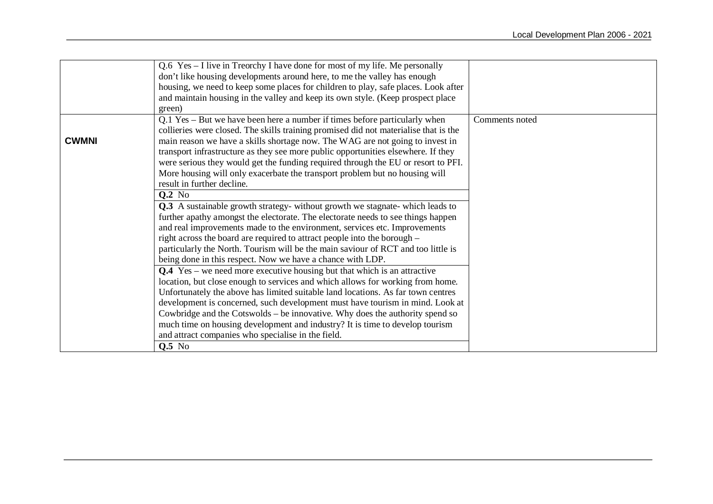|              | Q.6 Yes – I live in Treorchy I have done for most of my life. Me personally          |                |
|--------------|--------------------------------------------------------------------------------------|----------------|
|              | don't like housing developments around here, to me the valley has enough             |                |
|              | housing, we need to keep some places for children to play, safe places. Look after   |                |
|              | and maintain housing in the valley and keep its own style. (Keep prospect place      |                |
|              | green)                                                                               |                |
|              | Q.1 Yes – But we have been here a number if times before particularly when           | Comments noted |
|              | collieries were closed. The skills training promised did not materialise that is the |                |
| <b>CWMNI</b> | main reason we have a skills shortage now. The WAG are not going to invest in        |                |
|              | transport infrastructure as they see more public opportunities elsewhere. If they    |                |
|              | were serious they would get the funding required through the EU or resort to PFI.    |                |
|              | More housing will only exacerbate the transport problem but no housing will          |                |
|              | result in further decline.                                                           |                |
|              | <b>Q.2</b> No                                                                        |                |
|              | Q.3 A sustainable growth strategy- without growth we stagnate- which leads to        |                |
|              | further apathy amongst the electorate. The electorate needs to see things happen     |                |
|              | and real improvements made to the environment, services etc. Improvements            |                |
|              | right across the board are required to attract people into the borough -             |                |
|              | particularly the North. Tourism will be the main saviour of RCT and too little is    |                |
|              | being done in this respect. Now we have a chance with LDP.                           |                |
|              | $Q.4$ Yes – we need more executive housing but that which is an attractive           |                |
|              | location, but close enough to services and which allows for working from home.       |                |
|              | Unfortunately the above has limited suitable land locations. As far town centres     |                |
|              | development is concerned, such development must have tourism in mind. Look at        |                |
|              | Cowbridge and the Cotswolds – be innovative. Why does the authority spend so         |                |
|              | much time on housing development and industry? It is time to develop tourism         |                |
|              | and attract companies who specialise in the field.                                   |                |
|              | $Q.5$ No                                                                             |                |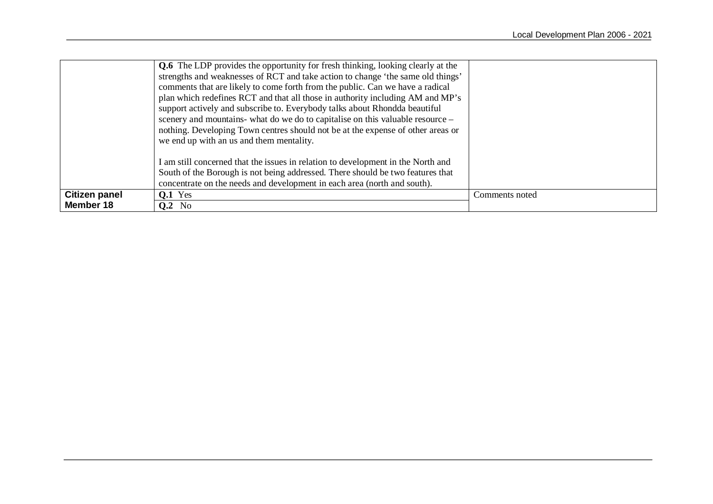|                      | <b>Q.6</b> The LDP provides the opportunity for fresh thinking, looking clearly at the<br>strengths and weaknesses of RCT and take action to change 'the same old things'<br>comments that are likely to come forth from the public. Can we have a radical<br>plan which redefines RCT and that all those in authority including AM and MP's<br>support actively and subscribe to. Everybody talks about Rhondda beautiful<br>scenery and mountains- what do we do to capitalise on this valuable resource –<br>nothing. Developing Town centres should not be at the expense of other areas or<br>we end up with an us and them mentality. |  |  |  |
|----------------------|---------------------------------------------------------------------------------------------------------------------------------------------------------------------------------------------------------------------------------------------------------------------------------------------------------------------------------------------------------------------------------------------------------------------------------------------------------------------------------------------------------------------------------------------------------------------------------------------------------------------------------------------|--|--|--|
|                      | I am still concerned that the issues in relation to development in the North and<br>South of the Borough is not being addressed. There should be two features that<br>concentrate on the needs and development in each area (north and south).                                                                                                                                                                                                                                                                                                                                                                                              |  |  |  |
| <b>Citizen panel</b> | <b>O.1</b> Yes<br>Comments noted                                                                                                                                                                                                                                                                                                                                                                                                                                                                                                                                                                                                            |  |  |  |
| Member 18            | $0.2$ No                                                                                                                                                                                                                                                                                                                                                                                                                                                                                                                                                                                                                                    |  |  |  |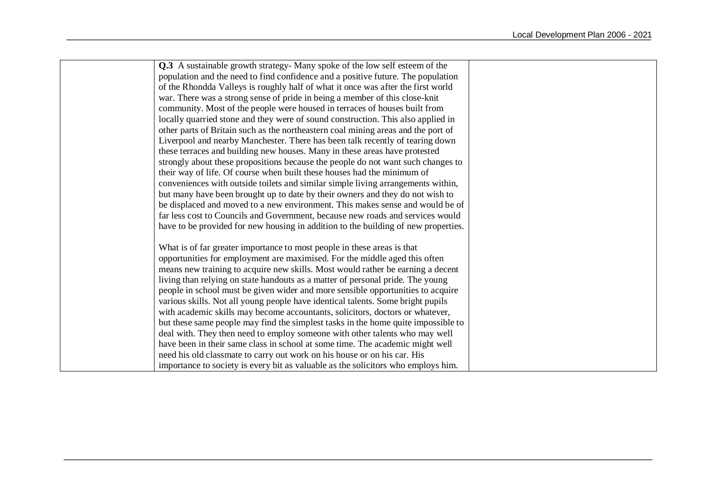| Q.3 A sustainable growth strategy-Many spoke of the low self esteem of the         |
|------------------------------------------------------------------------------------|
| population and the need to find confidence and a positive future. The population   |
| of the Rhondda Valleys is roughly half of what it once was after the first world   |
| war. There was a strong sense of pride in being a member of this close-knit        |
| community. Most of the people were housed in terraces of houses built from         |
| locally quarried stone and they were of sound construction. This also applied in   |
| other parts of Britain such as the northeastern coal mining areas and the port of  |
| Liverpool and nearby Manchester. There has been talk recently of tearing down      |
| these terraces and building new houses. Many in these areas have protested         |
| strongly about these propositions because the people do not want such changes to   |
| their way of life. Of course when built these houses had the minimum of            |
| conveniences with outside toilets and similar simple living arrangements within,   |
| but many have been brought up to date by their owners and they do not wish to      |
| be displaced and moved to a new environment. This makes sense and would be of      |
| far less cost to Councils and Government, because new roads and services would     |
| have to be provided for new housing in addition to the building of new properties. |
|                                                                                    |
| What is of far greater importance to most people in these areas is that            |
| opportunities for employment are maximised. For the middle aged this often         |
| means new training to acquire new skills. Most would rather be earning a decent    |
| living than relying on state handouts as a matter of personal pride. The young     |
| people in school must be given wider and more sensible opportunities to acquire    |
| various skills. Not all young people have identical talents. Some bright pupils    |
| with academic skills may become accountants, solicitors, doctors or whatever,      |
| but these same people may find the simplest tasks in the home quite impossible to  |
| deal with. They then need to employ someone with other talents who may well        |
| have been in their same class in school at some time. The academic might well      |
| need his old classmate to carry out work on his house or on his car. His           |
| importance to society is every bit as valuable as the solicitors who employs him.  |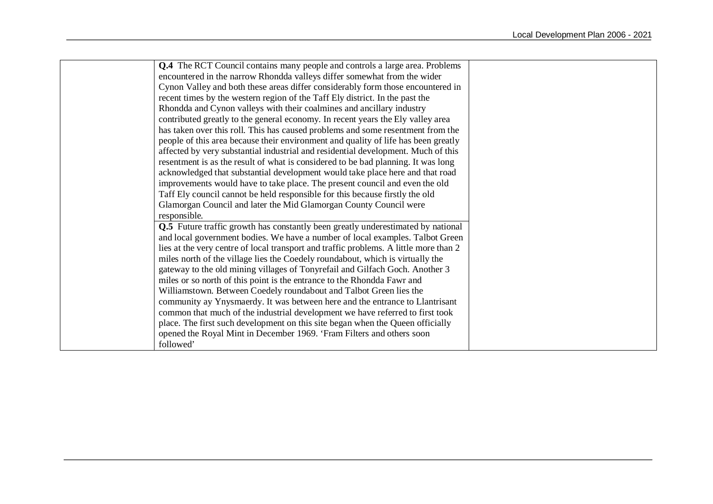| <b>Q.4</b> The RCT Council contains many people and controls a large area. Problems     |
|-----------------------------------------------------------------------------------------|
| encountered in the narrow Rhondda valleys differ somewhat from the wider                |
| Cynon Valley and both these areas differ considerably form those encountered in         |
| recent times by the western region of the Taff Ely district. In the past the            |
| Rhondda and Cynon valleys with their coalmines and ancillary industry                   |
| contributed greatly to the general economy. In recent years the Ely valley area         |
| has taken over this roll. This has caused problems and some resentment from the         |
| people of this area because their environment and quality of life has been greatly      |
| affected by very substantial industrial and residential development. Much of this       |
| resentment is as the result of what is considered to be bad planning. It was long       |
| acknowledged that substantial development would take place here and that road           |
| improvements would have to take place. The present council and even the old             |
| Taff Ely council cannot be held responsible for this because firstly the old            |
| Glamorgan Council and later the Mid Glamorgan County Council were                       |
| responsible.                                                                            |
| <b>Q.5</b> Future traffic growth has constantly been greatly underestimated by national |
| and local government bodies. We have a number of local examples. Talbot Green           |
| lies at the very centre of local transport and traffic problems. A little more than 2   |
| miles north of the village lies the Coedely roundabout, which is virtually the          |
| gateway to the old mining villages of Tonyrefail and Gilfach Goch. Another 3            |
| miles or so north of this point is the entrance to the Rhondda Fawr and                 |
| Williamstown. Between Coedely roundabout and Talbot Green lies the                      |
| community ay Ynysmaerdy. It was between here and the entrance to Llantrisant            |
| common that much of the industrial development we have referred to first took           |
| place. The first such development on this site began when the Queen officially          |
| opened the Royal Mint in December 1969. 'Fram Filters and others soon                   |
| followed'                                                                               |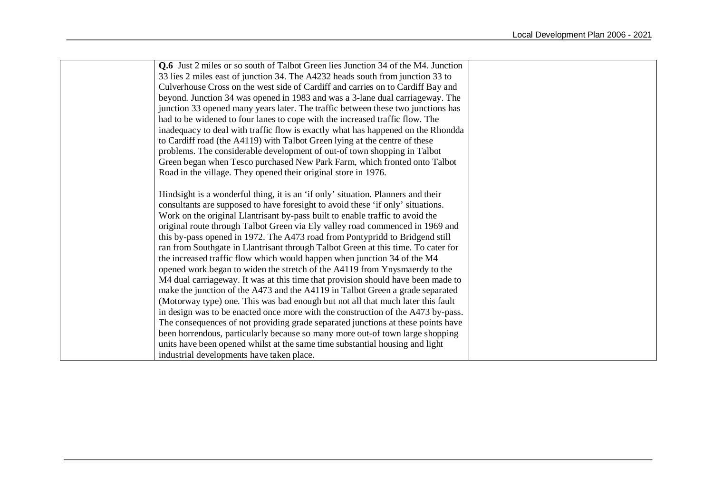| <b>Q.6</b> Just 2 miles or so south of Talbot Green lies Junction 34 of the M4. Junction |  |
|------------------------------------------------------------------------------------------|--|
| 33 lies 2 miles east of junction 34. The A4232 heads south from junction 33 to           |  |
| Culverhouse Cross on the west side of Cardiff and carries on to Cardiff Bay and          |  |
| beyond. Junction 34 was opened in 1983 and was a 3-lane dual carriageway. The            |  |
| junction 33 opened many years later. The traffic between these two junctions has         |  |
| had to be widened to four lanes to cope with the increased traffic flow. The             |  |
| inadequacy to deal with traffic flow is exactly what has happened on the Rhondda         |  |
| to Cardiff road (the A4119) with Talbot Green lying at the centre of these               |  |
| problems. The considerable development of out-of town shopping in Talbot                 |  |
| Green began when Tesco purchased New Park Farm, which fronted onto Talbot                |  |
| Road in the village. They opened their original store in 1976.                           |  |
|                                                                                          |  |
| Hindsight is a wonderful thing, it is an 'if only' situation. Planners and their         |  |
| consultants are supposed to have foresight to avoid these 'if only' situations.          |  |
| Work on the original Llantrisant by-pass built to enable traffic to avoid the            |  |
| original route through Talbot Green via Ely valley road commenced in 1969 and            |  |
| this by-pass opened in 1972. The A473 road from Pontypridd to Bridgend still             |  |
| ran from Southgate in Llantrisant through Talbot Green at this time. To cater for        |  |
| the increased traffic flow which would happen when junction 34 of the M4                 |  |
| opened work began to widen the stretch of the A4119 from Ynysmaerdy to the               |  |
| M4 dual carriageway. It was at this time that provision should have been made to         |  |
| make the junction of the A473 and the A4119 in Talbot Green a grade separated            |  |
| (Motorway type) one. This was bad enough but not all that much later this fault          |  |
| in design was to be enacted once more with the construction of the A473 by-pass.         |  |
| The consequences of not providing grade separated junctions at these points have         |  |
| been horrendous, particularly because so many more out-of town large shopping            |  |
| units have been opened whilst at the same time substantial housing and light             |  |
| industrial developments have taken place.                                                |  |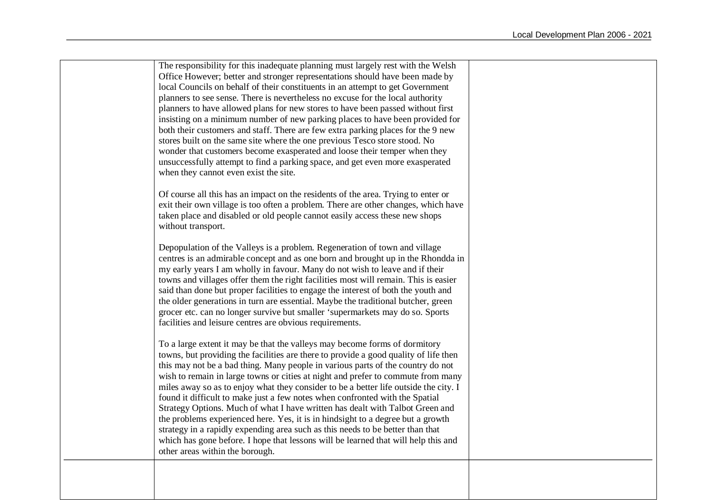The responsibility for this inadequate planning must largely rest with the Welsh Office However; better and stronger representations should have been made by local Councils on behalf of their constituents in an attempt to get Government planners to see sense. There is nevertheless no excuse for the local authority planners to have allowed plans for new stores to have been passed without first insisting on a minimum number of new parking places to have been provided for both their customers and staff. There are few extra parking places for the 9 new stores built on the same site where the one previous Tesco store stood. No wonder that customers become exasperated and loose their temper when they unsuccessfully attempt to find a parking space, and get even more exasperated when they cannot even exist the site. Of course all this has an impact on the residents of the area. Trying to enter or exit their own village is too often a problem. There are other changes, which have taken place and disabled or old people cannot easily access these new shops without transport. Depopulation of the Valleys is a problem. Regeneration of town and village centres is an admirable concept and as one born and brought up in the Rhondda in my early years I am wholly in favour. Many do not wish to leave and if their towns and villages offer them the right facilities most will remain. This is easier said than done but proper facilities to engage the interest of both the youth and the older generations in turn are essential. Maybe the traditional butcher, green grocer etc. can no longer survive but smaller 'supermarkets may do so. Sports facilities and leisure centres are obvious requirements. To a large extent it may be that the valleys may become forms of dormitory towns, but providing the facilities are there to provide a good quality of life then this may not be a bad thing. Many people in various parts of the country do not wish to remain in large towns or cities at night and prefer to commute from many miles away so as to enjoy what they consider to be a better life outside the city. I found it difficult to make just a few notes when confronted with the Spatial Strategy Options. Much of what I have written has dealt with Talbot Green and the problems experienced here. Yes, it is in hindsight to a degree but a growth strategy in a rapidly expending area such as this needs to be better than that which has gone before. I hope that lessons will be learned that will help this and other areas within the borough.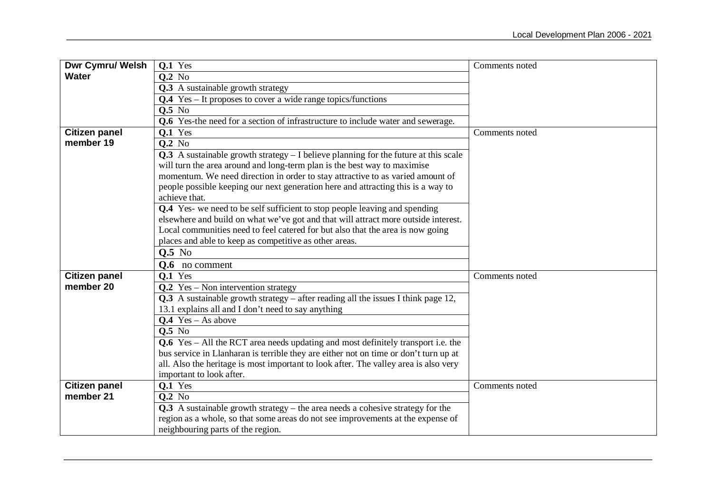| <b>Dwr Cymru/ Welsh</b> | Q.1 Yes                                                                                 | Comments noted |
|-------------------------|-----------------------------------------------------------------------------------------|----------------|
| <b>Water</b>            | $Q.2$ No                                                                                |                |
|                         | $\overline{Q.3}$ A sustainable growth strategy                                          |                |
|                         | <b>Q.4</b> Yes – It proposes to cover a wide range topics/functions                     |                |
|                         | <b>0.5</b> No                                                                           |                |
|                         | <b>Q.6</b> Yes-the need for a section of infrastructure to include water and sewerage.  |                |
| <b>Citizen panel</b>    | $Q.1$ Yes                                                                               | Comments noted |
| member 19               | $Q.2$ No                                                                                |                |
|                         | $Q.3$ A sustainable growth strategy $- I$ believe planning for the future at this scale |                |
|                         | will turn the area around and long-term plan is the best way to maximise                |                |
|                         | momentum. We need direction in order to stay attractive to as varied amount of          |                |
|                         | people possible keeping our next generation here and attracting this is a way to        |                |
|                         | achieve that.                                                                           |                |
|                         | <b>Q.4</b> Yes- we need to be self sufficient to stop people leaving and spending       |                |
|                         | elsewhere and build on what we've got and that will attract more outside interest.      |                |
|                         | Local communities need to feel catered for but also that the area is now going          |                |
|                         | places and able to keep as competitive as other areas.                                  |                |
|                         | Q.5 No                                                                                  |                |
|                         | <b>Q.6</b> no comment                                                                   |                |
| <b>Citizen panel</b>    | <b>Q.1</b> Yes                                                                          | Comments noted |
| member 20               | $Q.2$ Yes – Non intervention strategy                                                   |                |
|                         | Q.3 A sustainable growth strategy $-$ after reading all the issues I think page 12,     |                |
|                         | 13.1 explains all and I don't need to say anything                                      |                |
|                         | $Q.4$ Yes – As above                                                                    |                |
|                         | <b>0.5</b> No                                                                           |                |
|                         | Q.6 Yes - All the RCT area needs updating and most definitely transport i.e. the        |                |
|                         | bus service in Llanharan is terrible they are either not on time or don't turn up at    |                |
|                         | all. Also the heritage is most important to look after. The valley area is also very    |                |
|                         | important to look after.                                                                |                |
| <b>Citizen panel</b>    | Q.1 Yes                                                                                 | Comments noted |
| member 21               | <b>Q.2</b> No                                                                           |                |
|                         | $Q.3$ A sustainable growth strategy – the area needs a cohesive strategy for the        |                |
|                         | region as a whole, so that some areas do not see improvements at the expense of         |                |
|                         | neighbouring parts of the region.                                                       |                |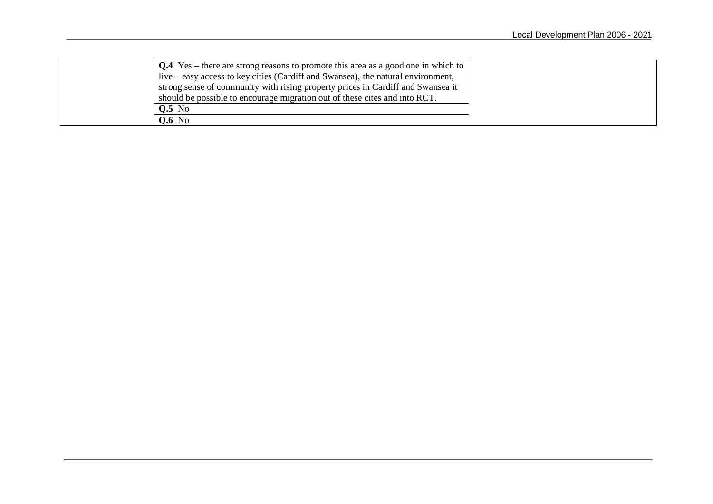| $\vert$ Q.4 Yes – there are strong reasons to promote this area as a good one in which to |  |
|-------------------------------------------------------------------------------------------|--|
| live – easy access to key cities (Cardiff and Swansea), the natural environment,          |  |
| strong sense of community with rising property prices in Cardiff and Swansea it           |  |
| should be possible to encourage migration out of these cites and into RCT.                |  |
| $Q.5$ No                                                                                  |  |
| <b>Q.6</b> No                                                                             |  |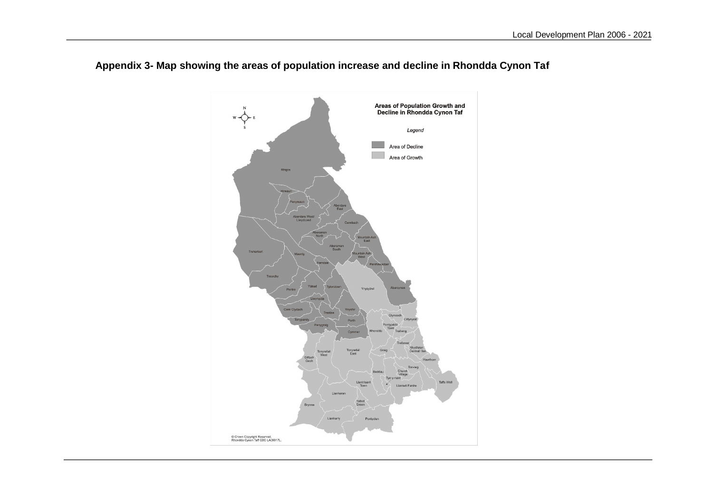

# **Appendix 3- Map showing the areas of population increase and decline in Rhondda Cynon Taf**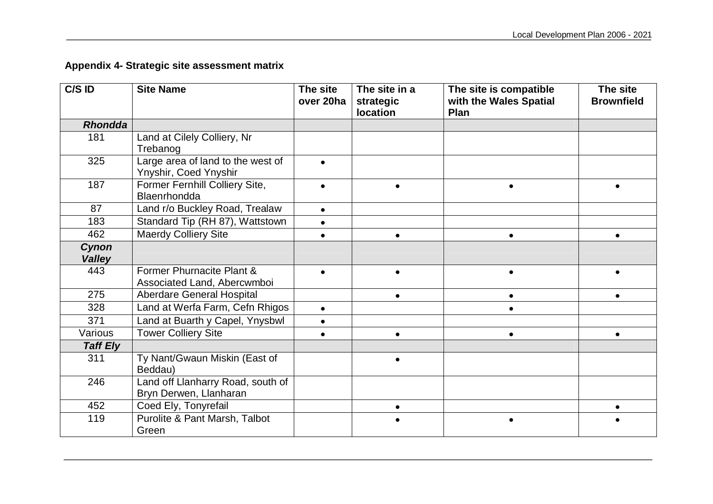# **Appendix 4- Strategic site assessment matrix**

| C/S ID                 | <b>Site Name</b>                                            | The site<br>over 20ha | The site in a<br>strategic | The site is compatible<br>with the Wales Spatial | The site<br><b>Brownfield</b> |
|------------------------|-------------------------------------------------------------|-----------------------|----------------------------|--------------------------------------------------|-------------------------------|
|                        |                                                             |                       | location                   | Plan                                             |                               |
| <b>Rhondda</b>         |                                                             |                       |                            |                                                  |                               |
| 181                    | Land at Cilely Colliery, Nr<br>Trebanog                     |                       |                            |                                                  |                               |
| 325                    | Large area of land to the west of<br>Ynyshir, Coed Ynyshir  | $\bullet$             |                            |                                                  |                               |
| 187                    | Former Fernhill Colliery Site,<br>Blaenrhondda              |                       | $\bullet$                  | $\bullet$                                        |                               |
| 87                     | Land r/o Buckley Road, Trealaw                              | $\bullet$             |                            |                                                  |                               |
| 183                    | Standard Tip (RH 87), Wattstown                             | $\bullet$             |                            |                                                  |                               |
| 462                    | <b>Maerdy Colliery Site</b>                                 | $\bullet$             | $\bullet$                  | $\bullet$                                        | $\bullet$                     |
| Cynon<br><b>Valley</b> |                                                             |                       |                            |                                                  |                               |
| 443                    | Former Phurnacite Plant &<br>Associated Land, Abercwmboi    |                       | $\bullet$                  |                                                  |                               |
| 275                    | <b>Aberdare General Hospital</b>                            |                       | $\bullet$                  | $\bullet$                                        |                               |
| 328                    | Land at Werfa Farm, Cefn Rhigos                             | $\bullet$             |                            | $\bullet$                                        |                               |
| 371                    | Land at Buarth y Capel, Ynysbwl                             | $\bullet$             |                            |                                                  |                               |
| Various                | <b>Tower Colliery Site</b>                                  |                       | $\bullet$                  | $\bullet$                                        |                               |
| <b>Taff Ely</b>        |                                                             |                       |                            |                                                  |                               |
| 311                    | Ty Nant/Gwaun Miskin (East of<br>Beddau)                    |                       | $\bullet$                  |                                                  |                               |
| 246                    | Land off Llanharry Road, south of<br>Bryn Derwen, Llanharan |                       |                            |                                                  |                               |
| 452                    | Coed Ely, Tonyrefail                                        |                       | $\bullet$                  |                                                  | $\bullet$                     |
| 119                    | Purolite & Pant Marsh, Talbot<br>Green                      |                       |                            |                                                  |                               |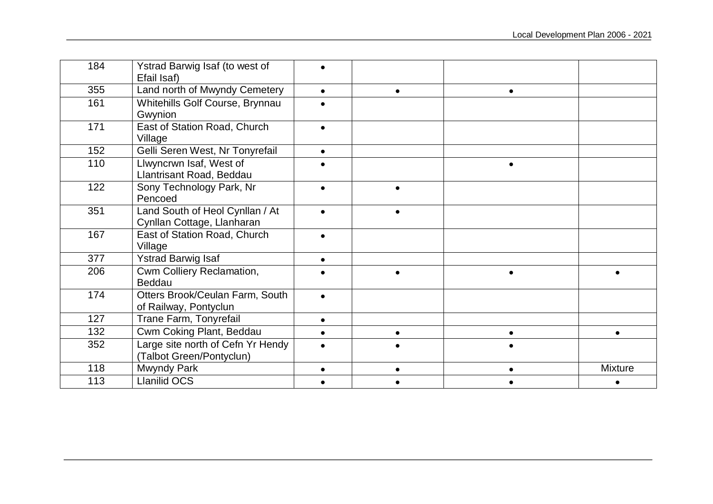| 184 | Ystrad Barwig Isaf (to west of<br>Efail Isaf)                 |           |           |           |                |
|-----|---------------------------------------------------------------|-----------|-----------|-----------|----------------|
| 355 | Land north of Mwyndy Cemetery                                 | $\bullet$ | $\bullet$ | $\bullet$ |                |
| 161 | Whitehills Golf Course, Brynnau<br>Gwynion                    |           |           |           |                |
| 171 | East of Station Road, Church<br>Village                       |           |           |           |                |
| 152 | Gelli Seren West, Nr Tonyrefail                               | $\bullet$ |           |           |                |
| 110 | Llwyncrwn Isaf, West of<br>Llantrisant Road, Beddau           |           |           |           |                |
| 122 | Sony Technology Park, Nr<br>Pencoed                           |           |           |           |                |
| 351 | Land South of Heol Cynllan / At<br>Cynllan Cottage, Llanharan |           | $\bullet$ |           |                |
| 167 | East of Station Road, Church<br>Village                       |           |           |           |                |
| 377 | <b>Ystrad Barwig Isaf</b>                                     | $\bullet$ |           |           |                |
| 206 | Cwm Colliery Reclamation,<br>Beddau                           |           |           | $\bullet$ |                |
| 174 | Otters Brook/Ceulan Farm, South<br>of Railway, Pontyclun      |           |           |           |                |
| 127 | Trane Farm, Tonyrefail                                        | $\bullet$ |           |           |                |
| 132 | Cwm Coking Plant, Beddau                                      | $\bullet$ | $\bullet$ | $\bullet$ | $\bullet$      |
| 352 | Large site north of Cefn Yr Hendy<br>(Talbot Green/Pontyclun) |           |           |           |                |
| 118 | Mwyndy Park                                                   | $\bullet$ |           | $\bullet$ | <b>Mixture</b> |
| 113 | <b>Llanilid OCS</b>                                           |           |           |           |                |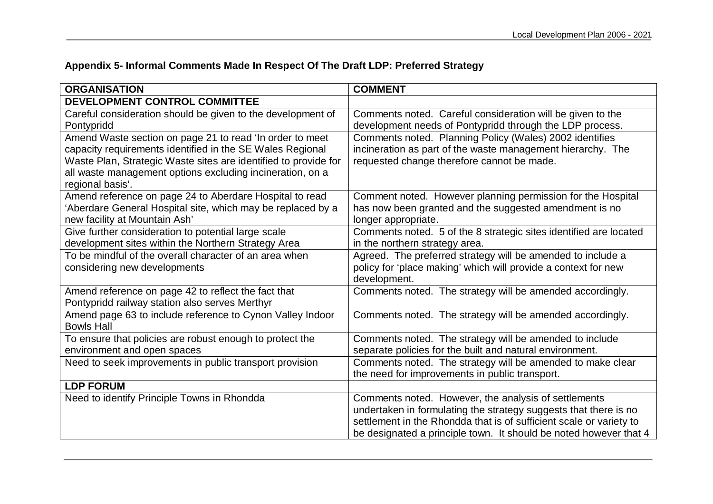# **Appendix 5- Informal Comments Made In Respect Of The Draft LDP: Preferred Strategy**

| <b>ORGANISATION</b>                                                                                                                                                                                                                        | <b>COMMENT</b>                                                                                                                                                                                                                                                                                                                                                                                                                                                                                              |
|--------------------------------------------------------------------------------------------------------------------------------------------------------------------------------------------------------------------------------------------|-------------------------------------------------------------------------------------------------------------------------------------------------------------------------------------------------------------------------------------------------------------------------------------------------------------------------------------------------------------------------------------------------------------------------------------------------------------------------------------------------------------|
| DEVELOPMENT CONTROL COMMITTEE                                                                                                                                                                                                              |                                                                                                                                                                                                                                                                                                                                                                                                                                                                                                             |
| Careful consideration should be given to the development of                                                                                                                                                                                | Comments noted. Careful consideration will be given to the                                                                                                                                                                                                                                                                                                                                                                                                                                                  |
| Pontypridd                                                                                                                                                                                                                                 | development needs of Pontypridd through the LDP process.                                                                                                                                                                                                                                                                                                                                                                                                                                                    |
| Amend Waste section on page 21 to read 'In order to meet                                                                                                                                                                                   | Comments noted. Planning Policy (Wales) 2002 identifies                                                                                                                                                                                                                                                                                                                                                                                                                                                     |
| capacity requirements identified in the SE Wales Regional                                                                                                                                                                                  | incineration as part of the waste management hierarchy. The                                                                                                                                                                                                                                                                                                                                                                                                                                                 |
| Waste Plan, Strategic Waste sites are identified to provide for                                                                                                                                                                            | requested change therefore cannot be made.                                                                                                                                                                                                                                                                                                                                                                                                                                                                  |
| all waste management options excluding incineration, on a                                                                                                                                                                                  |                                                                                                                                                                                                                                                                                                                                                                                                                                                                                                             |
| regional basis'.                                                                                                                                                                                                                           |                                                                                                                                                                                                                                                                                                                                                                                                                                                                                                             |
| Amend reference on page 24 to Aberdare Hospital to read                                                                                                                                                                                    | Comment noted. However planning permission for the Hospital                                                                                                                                                                                                                                                                                                                                                                                                                                                 |
| 'Aberdare General Hospital site, which may be replaced by a                                                                                                                                                                                | has now been granted and the suggested amendment is no                                                                                                                                                                                                                                                                                                                                                                                                                                                      |
| new facility at Mountain Ash'                                                                                                                                                                                                              | longer appropriate.                                                                                                                                                                                                                                                                                                                                                                                                                                                                                         |
| Give further consideration to potential large scale                                                                                                                                                                                        | Comments noted. 5 of the 8 strategic sites identified are located                                                                                                                                                                                                                                                                                                                                                                                                                                           |
| development sites within the Northern Strategy Area                                                                                                                                                                                        | in the northern strategy area.                                                                                                                                                                                                                                                                                                                                                                                                                                                                              |
| To be mindful of the overall character of an area when                                                                                                                                                                                     | Agreed. The preferred strategy will be amended to include a                                                                                                                                                                                                                                                                                                                                                                                                                                                 |
| considering new developments                                                                                                                                                                                                               | policy for 'place making' which will provide a context for new                                                                                                                                                                                                                                                                                                                                                                                                                                              |
|                                                                                                                                                                                                                                            | development.                                                                                                                                                                                                                                                                                                                                                                                                                                                                                                |
| Amend reference on page 42 to reflect the fact that                                                                                                                                                                                        | Comments noted. The strategy will be amended accordingly.                                                                                                                                                                                                                                                                                                                                                                                                                                                   |
| Pontypridd railway station also serves Merthyr                                                                                                                                                                                             |                                                                                                                                                                                                                                                                                                                                                                                                                                                                                                             |
| Amend page 63 to include reference to Cynon Valley Indoor                                                                                                                                                                                  | Comments noted. The strategy will be amended accordingly.                                                                                                                                                                                                                                                                                                                                                                                                                                                   |
|                                                                                                                                                                                                                                            |                                                                                                                                                                                                                                                                                                                                                                                                                                                                                                             |
|                                                                                                                                                                                                                                            |                                                                                                                                                                                                                                                                                                                                                                                                                                                                                                             |
|                                                                                                                                                                                                                                            |                                                                                                                                                                                                                                                                                                                                                                                                                                                                                                             |
|                                                                                                                                                                                                                                            |                                                                                                                                                                                                                                                                                                                                                                                                                                                                                                             |
|                                                                                                                                                                                                                                            |                                                                                                                                                                                                                                                                                                                                                                                                                                                                                                             |
|                                                                                                                                                                                                                                            |                                                                                                                                                                                                                                                                                                                                                                                                                                                                                                             |
|                                                                                                                                                                                                                                            |                                                                                                                                                                                                                                                                                                                                                                                                                                                                                                             |
|                                                                                                                                                                                                                                            |                                                                                                                                                                                                                                                                                                                                                                                                                                                                                                             |
|                                                                                                                                                                                                                                            |                                                                                                                                                                                                                                                                                                                                                                                                                                                                                                             |
| <b>Bowls Hall</b><br>To ensure that policies are robust enough to protect the<br>environment and open spaces<br>Need to seek improvements in public transport provision<br><b>LDP FORUM</b><br>Need to identify Principle Towns in Rhondda | Comments noted. The strategy will be amended to include<br>separate policies for the built and natural environment.<br>Comments noted. The strategy will be amended to make clear<br>the need for improvements in public transport.<br>Comments noted. However, the analysis of settlements<br>undertaken in formulating the strategy suggests that there is no<br>settlement in the Rhondda that is of sufficient scale or variety to<br>be designated a principle town. It should be noted however that 4 |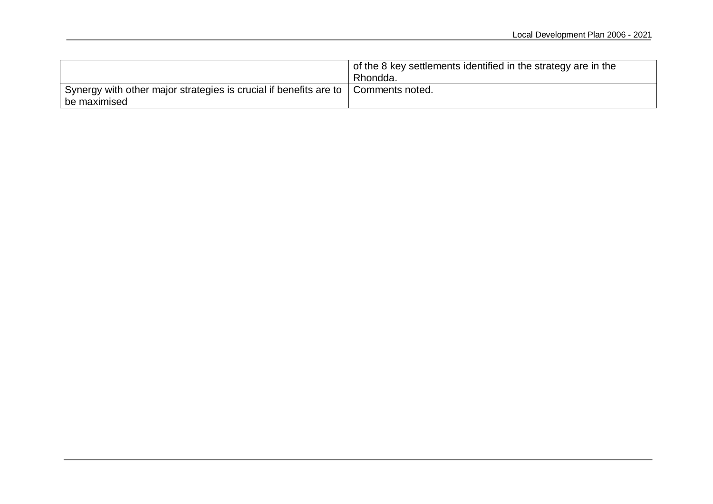|                                                                                                     | $\frac{1}{2}$ of the 8 key settlements identified in the strategy are in the<br>Rhondda. |
|-----------------------------------------------------------------------------------------------------|------------------------------------------------------------------------------------------|
| Synergy with other major strategies is crucial if benefits are to   Comments noted.<br>be maximised |                                                                                          |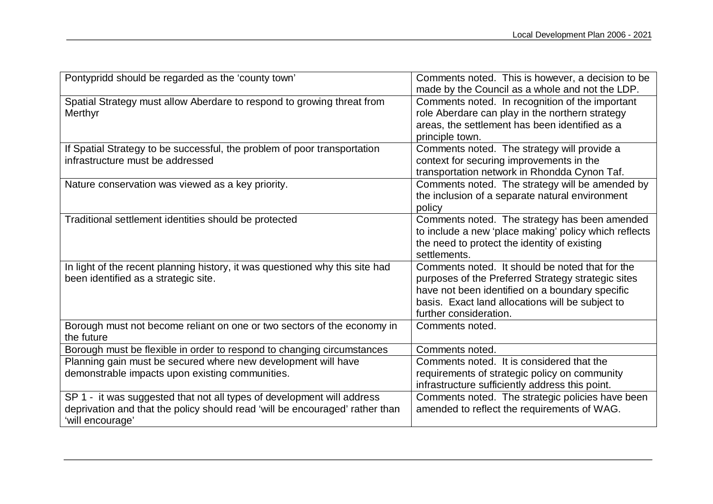| Pontypridd should be regarded as the 'county town'                                                                                                                         | Comments noted. This is however, a decision to be<br>made by the Council as a whole and not the LDP.                                                                                                                                   |
|----------------------------------------------------------------------------------------------------------------------------------------------------------------------------|----------------------------------------------------------------------------------------------------------------------------------------------------------------------------------------------------------------------------------------|
| Spatial Strategy must allow Aberdare to respond to growing threat from<br>Merthyr                                                                                          | Comments noted. In recognition of the important<br>role Aberdare can play in the northern strategy<br>areas, the settlement has been identified as a<br>principle town.                                                                |
| If Spatial Strategy to be successful, the problem of poor transportation<br>infrastructure must be addressed                                                               | Comments noted. The strategy will provide a<br>context for securing improvements in the<br>transportation network in Rhondda Cynon Taf.                                                                                                |
| Nature conservation was viewed as a key priority.                                                                                                                          | Comments noted. The strategy will be amended by<br>the inclusion of a separate natural environment<br>policy                                                                                                                           |
| Traditional settlement identities should be protected                                                                                                                      | Comments noted. The strategy has been amended<br>to include a new 'place making' policy which reflects<br>the need to protect the identity of existing<br>settlements.                                                                 |
| In light of the recent planning history, it was questioned why this site had<br>been identified as a strategic site.                                                       | Comments noted. It should be noted that for the<br>purposes of the Preferred Strategy strategic sites<br>have not been identified on a boundary specific<br>basis. Exact land allocations will be subject to<br>further consideration. |
| Borough must not become reliant on one or two sectors of the economy in<br>the future                                                                                      | Comments noted.                                                                                                                                                                                                                        |
| Borough must be flexible in order to respond to changing circumstances                                                                                                     | Comments noted.                                                                                                                                                                                                                        |
| Planning gain must be secured where new development will have<br>demonstrable impacts upon existing communities.                                                           | Comments noted. It is considered that the<br>requirements of strategic policy on community<br>infrastructure sufficiently address this point.                                                                                          |
| SP 1 - it was suggested that not all types of development will address<br>deprivation and that the policy should read 'will be encouraged' rather than<br>'will encourage' | Comments noted. The strategic policies have been<br>amended to reflect the requirements of WAG.                                                                                                                                        |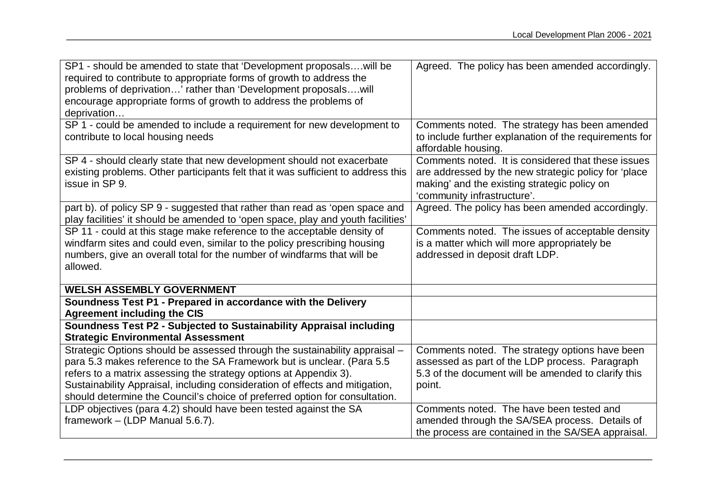| SP1 - should be amended to state that 'Development proposals will be<br>required to contribute to appropriate forms of growth to address the<br>problems of deprivation' rather than 'Development proposalswill<br>encourage appropriate forms of growth to address the problems of<br>deprivation                                                                                        | Agreed. The policy has been amended accordingly.                                                                                                                                          |
|-------------------------------------------------------------------------------------------------------------------------------------------------------------------------------------------------------------------------------------------------------------------------------------------------------------------------------------------------------------------------------------------|-------------------------------------------------------------------------------------------------------------------------------------------------------------------------------------------|
| SP 1 - could be amended to include a requirement for new development to<br>contribute to local housing needs                                                                                                                                                                                                                                                                              | Comments noted. The strategy has been amended<br>to include further explanation of the requirements for<br>affordable housing.                                                            |
| SP 4 - should clearly state that new development should not exacerbate<br>existing problems. Other participants felt that it was sufficient to address this<br>issue in SP 9.                                                                                                                                                                                                             | Comments noted. It is considered that these issues<br>are addressed by the new strategic policy for 'place<br>making' and the existing strategic policy on<br>'community infrastructure'. |
| part b). of policy SP 9 - suggested that rather than read as 'open space and<br>play facilities' it should be amended to 'open space, play and youth facilities'                                                                                                                                                                                                                          | Agreed. The policy has been amended accordingly.                                                                                                                                          |
| SP 11 - could at this stage make reference to the acceptable density of<br>windfarm sites and could even, similar to the policy prescribing housing<br>numbers, give an overall total for the number of windfarms that will be<br>allowed.                                                                                                                                                | Comments noted. The issues of acceptable density<br>is a matter which will more appropriately be<br>addressed in deposit draft LDP.                                                       |
| <b>WELSH ASSEMBLY GOVERNMENT</b>                                                                                                                                                                                                                                                                                                                                                          |                                                                                                                                                                                           |
| Soundness Test P1 - Prepared in accordance with the Delivery<br><b>Agreement including the CIS</b>                                                                                                                                                                                                                                                                                        |                                                                                                                                                                                           |
| Soundness Test P2 - Subjected to Sustainability Appraisal including<br><b>Strategic Environmental Assessment</b>                                                                                                                                                                                                                                                                          |                                                                                                                                                                                           |
| Strategic Options should be assessed through the sustainability appraisal -<br>para 5.3 makes reference to the SA Framework but is unclear. (Para 5.5<br>refers to a matrix assessing the strategy options at Appendix 3).<br>Sustainability Appraisal, including consideration of effects and mitigation,<br>should determine the Council's choice of preferred option for consultation. | Comments noted. The strategy options have been<br>assessed as part of the LDP process. Paragraph<br>5.3 of the document will be amended to clarify this<br>point.                         |
| LDP objectives (para 4.2) should have been tested against the SA<br>framework - (LDP Manual 5.6.7).                                                                                                                                                                                                                                                                                       | Comments noted. The have been tested and<br>amended through the SA/SEA process. Details of<br>the process are contained in the SA/SEA appraisal.                                          |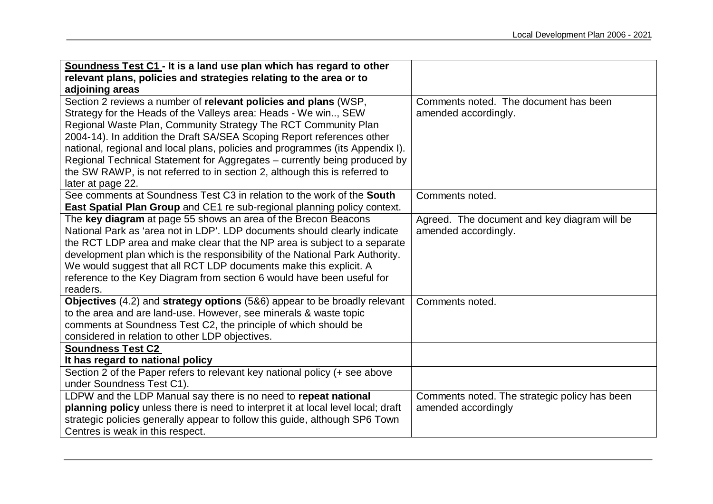| Soundness Test C1 - It is a land use plan which has regard to other              |                                               |
|----------------------------------------------------------------------------------|-----------------------------------------------|
| relevant plans, policies and strategies relating to the area or to               |                                               |
| adjoining areas                                                                  |                                               |
| Section 2 reviews a number of relevant policies and plans (WSP,                  | Comments noted. The document has been         |
| Strategy for the Heads of the Valleys area: Heads - We win, SEW                  | amended accordingly.                          |
| Regional Waste Plan, Community Strategy The RCT Community Plan                   |                                               |
| 2004-14). In addition the Draft SA/SEA Scoping Report references other           |                                               |
| national, regional and local plans, policies and programmes (its Appendix I).    |                                               |
| Regional Technical Statement for Aggregates - currently being produced by        |                                               |
| the SW RAWP, is not referred to in section 2, although this is referred to       |                                               |
| later at page 22.                                                                |                                               |
| See comments at Soundness Test C3 in relation to the work of the <b>South</b>    | Comments noted.                               |
| <b>East Spatial Plan Group</b> and CE1 re sub-regional planning policy context.  |                                               |
| The key diagram at page 55 shows an area of the Brecon Beacons                   | Agreed. The document and key diagram will be  |
| National Park as 'area not in LDP'. LDP documents should clearly indicate        | amended accordingly.                          |
| the RCT LDP area and make clear that the NP area is subject to a separate        |                                               |
| development plan which is the responsibility of the National Park Authority.     |                                               |
| We would suggest that all RCT LDP documents make this explicit. A                |                                               |
| reference to the Key Diagram from section 6 would have been useful for           |                                               |
| readers.                                                                         |                                               |
| Objectives (4.2) and strategy options (5&6) appear to be broadly relevant        | Comments noted.                               |
| to the area and are land-use. However, see minerals & waste topic                |                                               |
| comments at Soundness Test C2, the principle of which should be                  |                                               |
| considered in relation to other LDP objectives.                                  |                                               |
| <b>Soundness Test C2</b>                                                         |                                               |
| It has regard to national policy                                                 |                                               |
| Section 2 of the Paper refers to relevant key national policy (+ see above       |                                               |
| under Soundness Test C1).                                                        |                                               |
| LDPW and the LDP Manual say there is no need to repeat national                  | Comments noted. The strategic policy has been |
| planning policy unless there is need to interpret it at local level local; draft | amended accordingly                           |
| strategic policies generally appear to follow this guide, although SP6 Town      |                                               |
| Centres is weak in this respect.                                                 |                                               |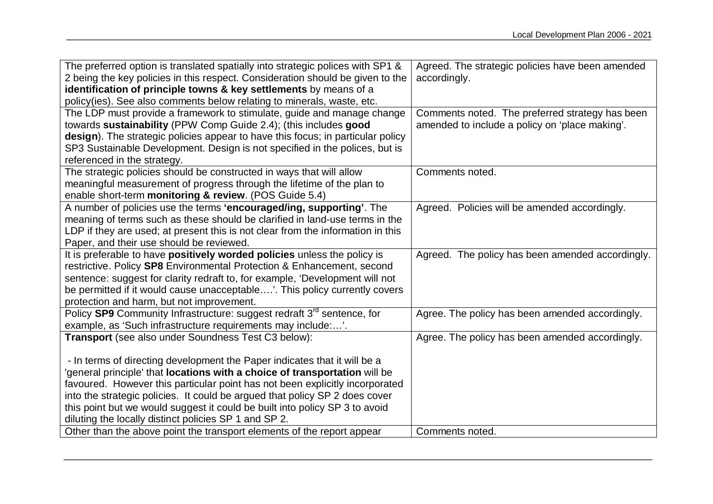| The preferred option is translated spatially into strategic polices with SP1 &     | Agreed. The strategic policies have been amended |
|------------------------------------------------------------------------------------|--------------------------------------------------|
| 2 being the key policies in this respect. Consideration should be given to the     | accordingly.                                     |
| identification of principle towns & key settlements by means of a                  |                                                  |
| policy(ies). See also comments below relating to minerals, waste, etc.             |                                                  |
| The LDP must provide a framework to stimulate, guide and manage change             | Comments noted. The preferred strategy has been  |
| towards sustainability (PPW Comp Guide 2.4); (this includes good                   | amended to include a policy on 'place making'.   |
| design). The strategic policies appear to have this focus; in particular policy    |                                                  |
| SP3 Sustainable Development. Design is not specified in the polices, but is        |                                                  |
| referenced in the strategy.                                                        |                                                  |
| The strategic policies should be constructed in ways that will allow               | Comments noted.                                  |
| meaningful measurement of progress through the lifetime of the plan to             |                                                  |
| enable short-term monitoring & review. (POS Guide 5.4)                             |                                                  |
| A number of policies use the terms 'encouraged/ing, supporting'. The               | Agreed. Policies will be amended accordingly.    |
| meaning of terms such as these should be clarified in land-use terms in the        |                                                  |
| LDP if they are used; at present this is not clear from the information in this    |                                                  |
| Paper, and their use should be reviewed.                                           |                                                  |
| It is preferable to have positively worded policies unless the policy is           | Agreed. The policy has been amended accordingly. |
| restrictive. Policy SP8 Environmental Protection & Enhancement, second             |                                                  |
| sentence: suggest for clarity redraft to, for example, 'Development will not       |                                                  |
| be permitted if it would cause unacceptable'. This policy currently covers         |                                                  |
| protection and harm, but not improvement.                                          |                                                  |
| Policy SP9 Community Infrastructure: suggest redraft 3 <sup>rd</sup> sentence, for | Agree. The policy has been amended accordingly.  |
| example, as 'Such infrastructure requirements may include:'.                       |                                                  |
| Transport (see also under Soundness Test C3 below):                                | Agree. The policy has been amended accordingly.  |
|                                                                                    |                                                  |
| - In terms of directing development the Paper indicates that it will be a          |                                                  |
| general principle' that locations with a choice of transportation will be          |                                                  |
| favoured. However this particular point has not been explicitly incorporated       |                                                  |
| into the strategic policies. It could be argued that policy SP 2 does cover        |                                                  |
| this point but we would suggest it could be built into policy SP 3 to avoid        |                                                  |
| diluting the locally distinct policies SP 1 and SP 2.                              |                                                  |
| Other than the above point the transport elements of the report appear             | Comments noted.                                  |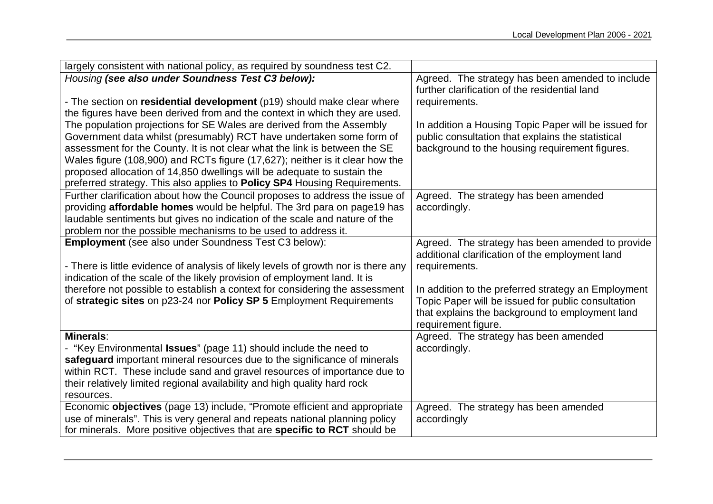| largely consistent with national policy, as required by soundness test C2.         |                                                      |
|------------------------------------------------------------------------------------|------------------------------------------------------|
| Housing (see also under Soundness Test C3 below):                                  | Agreed. The strategy has been amended to include     |
|                                                                                    | further clarification of the residential land        |
| - The section on residential development (p19) should make clear where             | requirements.                                        |
| the figures have been derived from and the context in which they are used.         |                                                      |
| The population projections for SE Wales are derived from the Assembly              | In addition a Housing Topic Paper will be issued for |
| Government data whilst (presumably) RCT have undertaken some form of               | public consultation that explains the statistical    |
| assessment for the County. It is not clear what the link is between the SE         | background to the housing requirement figures.       |
| Wales figure (108,900) and RCTs figure (17,627); neither is it clear how the       |                                                      |
| proposed allocation of 14,850 dwellings will be adequate to sustain the            |                                                      |
| preferred strategy. This also applies to Policy SP4 Housing Requirements.          |                                                      |
| Further clarification about how the Council proposes to address the issue of       | Agreed. The strategy has been amended                |
| providing affordable homes would be helpful. The 3rd para on page19 has            | accordingly.                                         |
| laudable sentiments but gives no indication of the scale and nature of the         |                                                      |
| problem nor the possible mechanisms to be used to address it.                      |                                                      |
| <b>Employment</b> (see also under Soundness Test C3 below):                        | Agreed. The strategy has been amended to provide     |
|                                                                                    | additional clarification of the employment land      |
| - There is little evidence of analysis of likely levels of growth nor is there any | requirements.                                        |
| indication of the scale of the likely provision of employment land. It is          |                                                      |
| therefore not possible to establish a context for considering the assessment       | In addition to the preferred strategy an Employment  |
| of strategic sites on p23-24 nor Policy SP 5 Employment Requirements               | Topic Paper will be issued for public consultation   |
|                                                                                    | that explains the background to employment land      |
|                                                                                    | requirement figure.                                  |
| Minerals:                                                                          | Agreed. The strategy has been amended                |
| - "Key Environmental Issues" (page 11) should include the need to                  | accordingly.                                         |
| safeguard important mineral resources due to the significance of minerals          |                                                      |
| within RCT. These include sand and gravel resources of importance due to           |                                                      |
| their relatively limited regional availability and high quality hard rock          |                                                      |
| resources.                                                                         |                                                      |
| Economic objectives (page 13) include, "Promote efficient and appropriate          | Agreed. The strategy has been amended                |
| use of minerals". This is very general and repeats national planning policy        | accordingly                                          |
| for minerals. More positive objectives that are specific to RCT should be          |                                                      |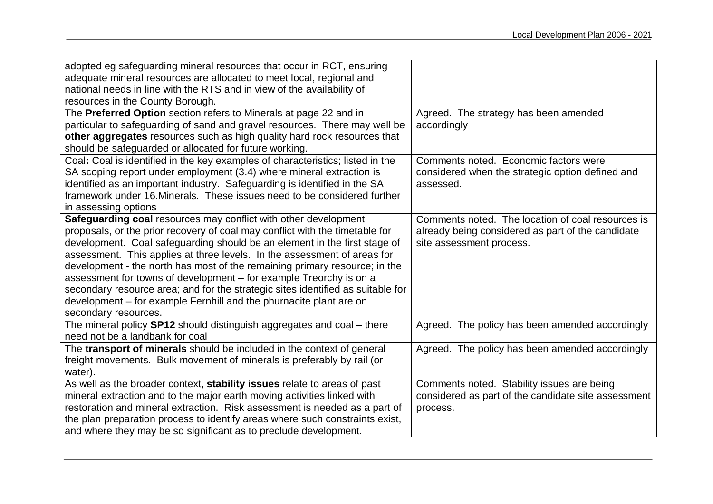| adopted eg safeguarding mineral resources that occur in RCT, ensuring           |                                                     |
|---------------------------------------------------------------------------------|-----------------------------------------------------|
| adequate mineral resources are allocated to meet local, regional and            |                                                     |
| national needs in line with the RTS and in view of the availability of          |                                                     |
| resources in the County Borough.                                                |                                                     |
| The Preferred Option section refers to Minerals at page 22 and in               | Agreed. The strategy has been amended               |
| particular to safeguarding of sand and gravel resources. There may well be      | accordingly                                         |
| other aggregates resources such as high quality hard rock resources that        |                                                     |
| should be safeguarded or allocated for future working.                          |                                                     |
| Coal: Coal is identified in the key examples of characteristics; listed in the  | Comments noted. Economic factors were               |
| SA scoping report under employment (3.4) where mineral extraction is            | considered when the strategic option defined and    |
| identified as an important industry. Safeguarding is identified in the SA       | assessed.                                           |
| framework under 16. Minerals. These issues need to be considered further        |                                                     |
| in assessing options                                                            |                                                     |
| Safeguarding coal resources may conflict with other development                 | Comments noted. The location of coal resources is   |
| proposals, or the prior recovery of coal may conflict with the timetable for    | already being considered as part of the candidate   |
| development. Coal safeguarding should be an element in the first stage of       | site assessment process.                            |
| assessment. This applies at three levels. In the assessment of areas for        |                                                     |
| development - the north has most of the remaining primary resource; in the      |                                                     |
| assessment for towns of development - for example Treorchy is on a              |                                                     |
| secondary resource area; and for the strategic sites identified as suitable for |                                                     |
| development – for example Fernhill and the phurnacite plant are on              |                                                     |
| secondary resources.                                                            |                                                     |
| The mineral policy SP12 should distinguish aggregates and coal – there          | Agreed. The policy has been amended accordingly     |
| need not be a landbank for coal                                                 |                                                     |
| The transport of minerals should be included in the context of general          | Agreed. The policy has been amended accordingly     |
| freight movements. Bulk movement of minerals is preferably by rail (or          |                                                     |
| water).                                                                         |                                                     |
| As well as the broader context, stability issues relate to areas of past        | Comments noted. Stability issues are being          |
| mineral extraction and to the major earth moving activities linked with         | considered as part of the candidate site assessment |
| restoration and mineral extraction. Risk assessment is needed as a part of      | process.                                            |
| the plan preparation process to identify areas where such constraints exist,    |                                                     |
| and where they may be so significant as to preclude development.                |                                                     |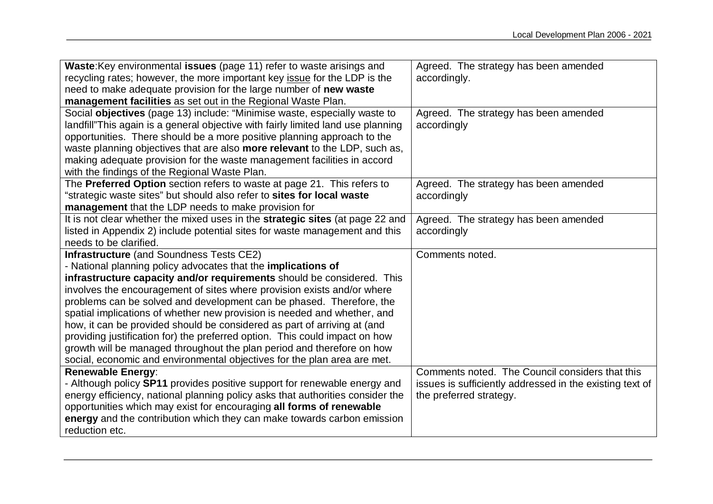| Waste: Key environmental issues (page 11) refer to waste arisings and                     | Agreed. The strategy has been amended                    |
|-------------------------------------------------------------------------------------------|----------------------------------------------------------|
| recycling rates; however, the more important key issue for the LDP is the                 | accordingly.                                             |
| need to make adequate provision for the large number of new waste                         |                                                          |
| management facilities as set out in the Regional Waste Plan.                              |                                                          |
| Social objectives (page 13) include: "Minimise waste, especially waste to                 | Agreed. The strategy has been amended                    |
| landfill"This again is a general objective with fairly limited land use planning          | accordingly                                              |
| opportunities. There should be a more positive planning approach to the                   |                                                          |
| waste planning objectives that are also more relevant to the LDP, such as,                |                                                          |
| making adequate provision for the waste management facilities in accord                   |                                                          |
| with the findings of the Regional Waste Plan.                                             |                                                          |
| The Preferred Option section refers to waste at page 21. This refers to                   | Agreed. The strategy has been amended                    |
| "strategic waste sites" but should also refer to sites for local waste                    | accordingly                                              |
| management that the LDP needs to make provision for                                       |                                                          |
| It is not clear whether the mixed uses in the strategic sites (at page 22 and             | Agreed. The strategy has been amended                    |
| listed in Appendix 2) include potential sites for waste management and this               | accordingly                                              |
| needs to be clarified.                                                                    |                                                          |
|                                                                                           |                                                          |
| <b>Infrastructure</b> (and Soundness Tests CE2)                                           | Comments noted.                                          |
| - National planning policy advocates that the implications of                             |                                                          |
| infrastructure capacity and/or requirements should be considered. This                    |                                                          |
| involves the encouragement of sites where provision exists and/or where                   |                                                          |
| problems can be solved and development can be phased. Therefore, the                      |                                                          |
| spatial implications of whether new provision is needed and whether, and                  |                                                          |
| how, it can be provided should be considered as part of arriving at (and                  |                                                          |
| providing justification for) the preferred option. This could impact on how               |                                                          |
| growth will be managed throughout the plan period and therefore on how                    |                                                          |
| social, economic and environmental objectives for the plan area are met.                  |                                                          |
| <b>Renewable Energy:</b>                                                                  | Comments noted. The Council considers that this          |
| - Although policy SP11 provides positive support for renewable energy and                 | issues is sufficiently addressed in the existing text of |
| energy efficiency, national planning policy asks that authorities consider the            | the preferred strategy.                                  |
| opportunities which may exist for encouraging all forms of renewable                      |                                                          |
| energy and the contribution which they can make towards carbon emission<br>reduction etc. |                                                          |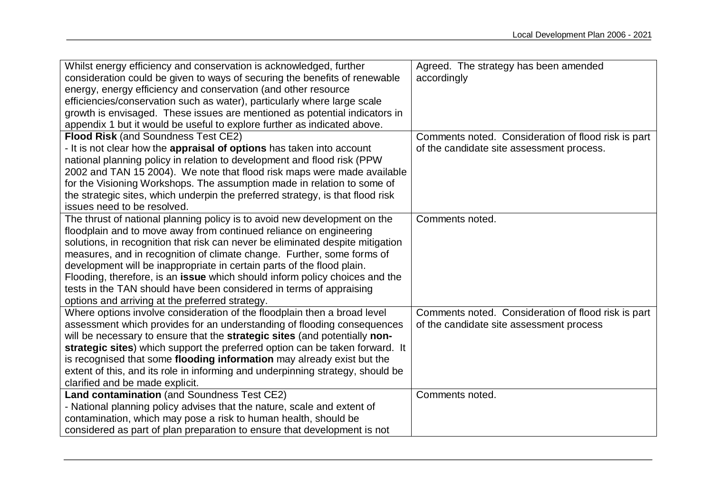| Whilst energy efficiency and conservation is acknowledged, further                | Agreed. The strategy has been amended               |
|-----------------------------------------------------------------------------------|-----------------------------------------------------|
| consideration could be given to ways of securing the benefits of renewable        | accordingly                                         |
| energy, energy efficiency and conservation (and other resource                    |                                                     |
| efficiencies/conservation such as water), particularly where large scale          |                                                     |
| growth is envisaged. These issues are mentioned as potential indicators in        |                                                     |
| appendix 1 but it would be useful to explore further as indicated above.          |                                                     |
| <b>Flood Risk (and Soundness Test CE2)</b>                                        | Comments noted. Consideration of flood risk is part |
| - It is not clear how the appraisal of options has taken into account             | of the candidate site assessment process.           |
| national planning policy in relation to development and flood risk (PPW           |                                                     |
| 2002 and TAN 15 2004). We note that flood risk maps were made available           |                                                     |
| for the Visioning Workshops. The assumption made in relation to some of           |                                                     |
| the strategic sites, which underpin the preferred strategy, is that flood risk    |                                                     |
| issues need to be resolved.                                                       |                                                     |
| The thrust of national planning policy is to avoid new development on the         | Comments noted.                                     |
| floodplain and to move away from continued reliance on engineering                |                                                     |
| solutions, in recognition that risk can never be eliminated despite mitigation    |                                                     |
| measures, and in recognition of climate change. Further, some forms of            |                                                     |
| development will be inappropriate in certain parts of the flood plain.            |                                                     |
| Flooding, therefore, is an issue which should inform policy choices and the       |                                                     |
| tests in the TAN should have been considered in terms of appraising               |                                                     |
| options and arriving at the preferred strategy.                                   |                                                     |
| Where options involve consideration of the floodplain then a broad level          | Comments noted. Consideration of flood risk is part |
| assessment which provides for an understanding of flooding consequences           | of the candidate site assessment process            |
| will be necessary to ensure that the <b>strategic sites</b> (and potentially non- |                                                     |
| strategic sites) which support the preferred option can be taken forward. It      |                                                     |
| is recognised that some flooding information may already exist but the            |                                                     |
| extent of this, and its role in informing and underpinning strategy, should be    |                                                     |
| clarified and be made explicit.                                                   |                                                     |
| Land contamination (and Soundness Test CE2)                                       | Comments noted.                                     |
| - National planning policy advises that the nature, scale and extent of           |                                                     |
| contamination, which may pose a risk to human health, should be                   |                                                     |
| considered as part of plan preparation to ensure that development is not          |                                                     |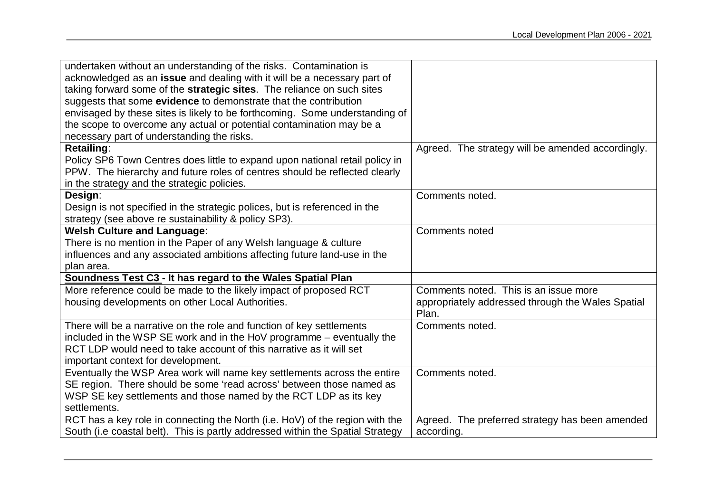| undertaken without an understanding of the risks. Contamination is<br>acknowledged as an issue and dealing with it will be a necessary part of<br>taking forward some of the strategic sites. The reliance on such sites<br>suggests that some evidence to demonstrate that the contribution |                                                                                                     |
|----------------------------------------------------------------------------------------------------------------------------------------------------------------------------------------------------------------------------------------------------------------------------------------------|-----------------------------------------------------------------------------------------------------|
| envisaged by these sites is likely to be forthcoming. Some understanding of<br>the scope to overcome any actual or potential contamination may be a                                                                                                                                          |                                                                                                     |
| necessary part of understanding the risks.                                                                                                                                                                                                                                                   |                                                                                                     |
| <b>Retailing:</b><br>Policy SP6 Town Centres does little to expand upon national retail policy in<br>PPW. The hierarchy and future roles of centres should be reflected clearly<br>in the strategy and the strategic policies.                                                               | Agreed. The strategy will be amended accordingly.                                                   |
| Design:                                                                                                                                                                                                                                                                                      | Comments noted.                                                                                     |
| Design is not specified in the strategic polices, but is referenced in the<br>strategy (see above re sustainability & policy SP3).                                                                                                                                                           |                                                                                                     |
| <b>Welsh Culture and Language:</b>                                                                                                                                                                                                                                                           | <b>Comments noted</b>                                                                               |
| There is no mention in the Paper of any Welsh language & culture                                                                                                                                                                                                                             |                                                                                                     |
| influences and any associated ambitions affecting future land-use in the                                                                                                                                                                                                                     |                                                                                                     |
| plan area.                                                                                                                                                                                                                                                                                   |                                                                                                     |
| Soundness Test C3 - It has regard to the Wales Spatial Plan                                                                                                                                                                                                                                  |                                                                                                     |
| More reference could be made to the likely impact of proposed RCT<br>housing developments on other Local Authorities.                                                                                                                                                                        | Comments noted. This is an issue more<br>appropriately addressed through the Wales Spatial<br>Plan. |
| There will be a narrative on the role and function of key settlements<br>included in the WSP SE work and in the HoV programme – eventually the<br>RCT LDP would need to take account of this narrative as it will set<br>important context for development.                                  | Comments noted.                                                                                     |
| Eventually the WSP Area work will name key settlements across the entire                                                                                                                                                                                                                     | Comments noted.                                                                                     |
| SE region. There should be some 'read across' between those named as                                                                                                                                                                                                                         |                                                                                                     |
| WSP SE key settlements and those named by the RCT LDP as its key<br>settlements.                                                                                                                                                                                                             |                                                                                                     |
| RCT has a key role in connecting the North (i.e. HoV) of the region with the                                                                                                                                                                                                                 | Agreed. The preferred strategy has been amended                                                     |
| South (i.e coastal belt). This is partly addressed within the Spatial Strategy                                                                                                                                                                                                               | according.                                                                                          |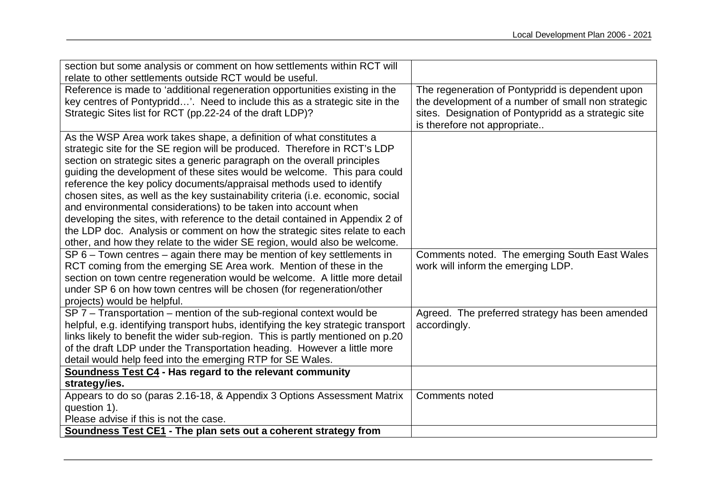| section but some analysis or comment on how settlements within RCT will           |                                                      |
|-----------------------------------------------------------------------------------|------------------------------------------------------|
| relate to other settlements outside RCT would be useful.                          |                                                      |
| Reference is made to 'additional regeneration opportunities existing in the       | The regeneration of Pontypridd is dependent upon     |
| key centres of Pontypridd'. Need to include this as a strategic site in the       | the development of a number of small non strategic   |
| Strategic Sites list for RCT (pp.22-24 of the draft LDP)?                         | sites. Designation of Pontypridd as a strategic site |
|                                                                                   | is therefore not appropriate                         |
| As the WSP Area work takes shape, a definition of what constitutes a              |                                                      |
| strategic site for the SE region will be produced. Therefore in RCT's LDP         |                                                      |
| section on strategic sites a generic paragraph on the overall principles          |                                                      |
| guiding the development of these sites would be welcome. This para could          |                                                      |
| reference the key policy documents/appraisal methods used to identify             |                                                      |
| chosen sites, as well as the key sustainability criteria (i.e. economic, social   |                                                      |
| and environmental considerations) to be taken into account when                   |                                                      |
| developing the sites, with reference to the detail contained in Appendix 2 of     |                                                      |
| the LDP doc. Analysis or comment on how the strategic sites relate to each        |                                                      |
| other, and how they relate to the wider SE region, would also be welcome.         |                                                      |
| $SP 6 - Town$ centres $-$ again there may be mention of key settlements in        | Comments noted. The emerging South East Wales        |
| RCT coming from the emerging SE Area work. Mention of these in the                | work will inform the emerging LDP.                   |
| section on town centre regeneration would be welcome. A little more detail        |                                                      |
| under SP 6 on how town centres will be chosen (for regeneration/other             |                                                      |
| projects) would be helpful.                                                       |                                                      |
| $SP 7 - T$ ransportation – mention of the sub-regional context would be           | Agreed. The preferred strategy has been amended      |
| helpful, e.g. identifying transport hubs, identifying the key strategic transport | accordingly.                                         |
| links likely to benefit the wider sub-region. This is partly mentioned on p.20    |                                                      |
| of the draft LDP under the Transportation heading. However a little more          |                                                      |
| detail would help feed into the emerging RTP for SE Wales.                        |                                                      |
| Soundness Test C4 - Has regard to the relevant community                          |                                                      |
| strategy/ies.                                                                     |                                                      |
| Appears to do so (paras 2.16-18, & Appendix 3 Options Assessment Matrix           | Comments noted                                       |
| question 1).                                                                      |                                                      |
| Please advise if this is not the case.                                            |                                                      |
| Soundness Test CE1 - The plan sets out a coherent strategy from                   |                                                      |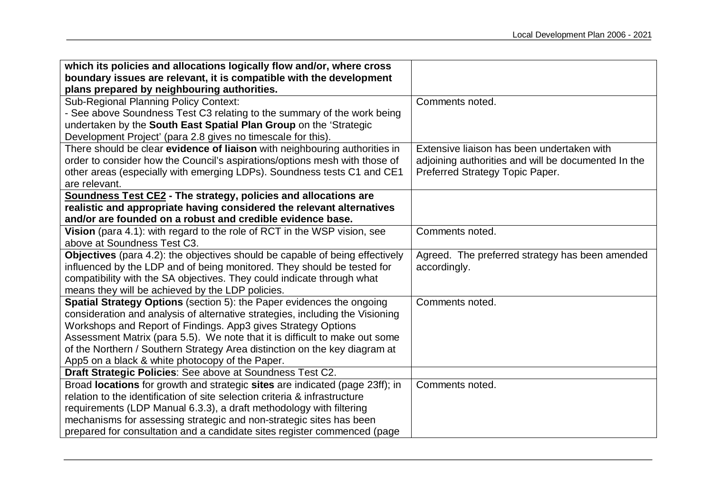| which its policies and allocations logically flow and/or, where cross               |                                                     |
|-------------------------------------------------------------------------------------|-----------------------------------------------------|
| boundary issues are relevant, it is compatible with the development                 |                                                     |
| plans prepared by neighbouring authorities.                                         |                                                     |
| <b>Sub-Regional Planning Policy Context:</b>                                        | Comments noted.                                     |
| - See above Soundness Test C3 relating to the summary of the work being             |                                                     |
| undertaken by the South East Spatial Plan Group on the 'Strategic                   |                                                     |
| Development Project' (para 2.8 gives no timescale for this).                        |                                                     |
| There should be clear evidence of liaison with neighbouring authorities in          | Extensive liaison has been undertaken with          |
| order to consider how the Council's aspirations/options mesh with those of          | adjoining authorities and will be documented In the |
| other areas (especially with emerging LDPs). Soundness tests C1 and CE1             | Preferred Strategy Topic Paper.                     |
| are relevant.                                                                       |                                                     |
| <b>Soundness Test CE2 - The strategy, policies and allocations are</b>              |                                                     |
| realistic and appropriate having considered the relevant alternatives               |                                                     |
| and/or are founded on a robust and credible evidence base.                          |                                                     |
| Vision (para 4.1): with regard to the role of RCT in the WSP vision, see            | Comments noted.                                     |
| above at Soundness Test C3.                                                         |                                                     |
| <b>Objectives</b> (para 4.2): the objectives should be capable of being effectively | Agreed. The preferred strategy has been amended     |
| influenced by the LDP and of being monitored. They should be tested for             | accordingly.                                        |
| compatibility with the SA objectives. They could indicate through what              |                                                     |
| means they will be achieved by the LDP policies.                                    |                                                     |
| Spatial Strategy Options (section 5): the Paper evidences the ongoing               | Comments noted.                                     |
| consideration and analysis of alternative strategies, including the Visioning       |                                                     |
| Workshops and Report of Findings. App3 gives Strategy Options                       |                                                     |
| Assessment Matrix (para 5.5). We note that it is difficult to make out some         |                                                     |
| of the Northern / Southern Strategy Area distinction on the key diagram at          |                                                     |
| App5 on a black & white photocopy of the Paper.                                     |                                                     |
| Draft Strategic Policies: See above at Soundness Test C2.                           |                                                     |
| Broad locations for growth and strategic sites are indicated (page 23ff); in        | Comments noted.                                     |
| relation to the identification of site selection criteria & infrastructure          |                                                     |
| requirements (LDP Manual 6.3.3), a draft methodology with filtering                 |                                                     |
| mechanisms for assessing strategic and non-strategic sites has been                 |                                                     |
| prepared for consultation and a candidate sites register commenced (page            |                                                     |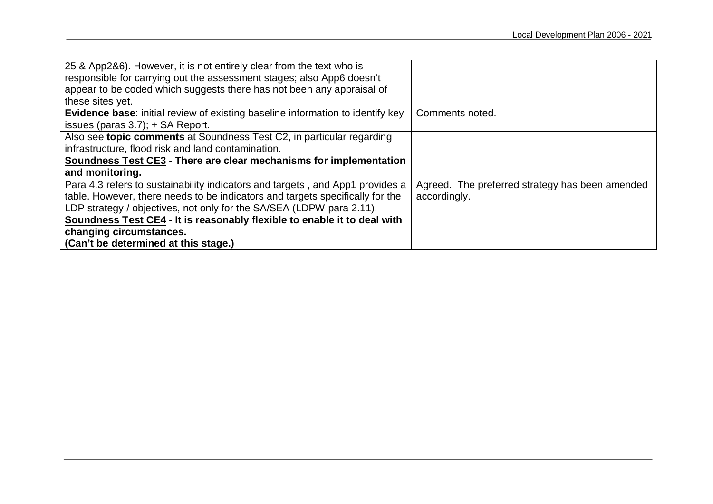| 25 & App2&6). However, it is not entirely clear from the text who is           |                                                 |
|--------------------------------------------------------------------------------|-------------------------------------------------|
| responsible for carrying out the assessment stages; also App6 doesn't          |                                                 |
| appear to be coded which suggests there has not been any appraisal of          |                                                 |
| these sites yet.                                                               |                                                 |
| Evidence base: initial review of existing baseline information to identify key | Comments noted.                                 |
| issues (paras $3.7$ ); $+$ SA Report.                                          |                                                 |
| Also see topic comments at Soundness Test C2, in particular regarding          |                                                 |
| infrastructure, flood risk and land contamination.                             |                                                 |
| Soundness Test CE3 - There are clear mechanisms for implementation             |                                                 |
| and monitoring.                                                                |                                                 |
| Para 4.3 refers to sustainability indicators and targets, and App1 provides a  | Agreed. The preferred strategy has been amended |
| table. However, there needs to be indicators and targets specifically for the  | accordingly.                                    |
| LDP strategy / objectives, not only for the SA/SEA (LDPW para 2.11).           |                                                 |
| Soundness Test CE4 - It is reasonably flexible to enable it to deal with       |                                                 |
| changing circumstances.                                                        |                                                 |
| (Can't be determined at this stage.)                                           |                                                 |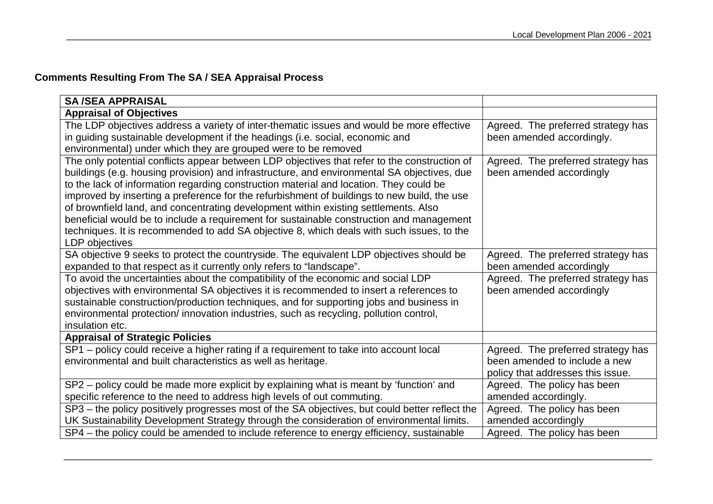# **Comments Resulting From The SA / SEA Appraisal Process**

| <b>SA/SEA APPRAISAL</b>                                                                                                                                                                                                                                                                                                                                                                                                                                                                                                                                                                                                                                                                |                                                                                                          |
|----------------------------------------------------------------------------------------------------------------------------------------------------------------------------------------------------------------------------------------------------------------------------------------------------------------------------------------------------------------------------------------------------------------------------------------------------------------------------------------------------------------------------------------------------------------------------------------------------------------------------------------------------------------------------------------|----------------------------------------------------------------------------------------------------------|
| <b>Appraisal of Objectives</b>                                                                                                                                                                                                                                                                                                                                                                                                                                                                                                                                                                                                                                                         |                                                                                                          |
| The LDP objectives address a variety of inter-thematic issues and would be more effective<br>in guiding sustainable development if the headings (i.e. social, economic and<br>environmental) under which they are grouped were to be removed                                                                                                                                                                                                                                                                                                                                                                                                                                           | Agreed. The preferred strategy has<br>been amended accordingly.                                          |
| The only potential conflicts appear between LDP objectives that refer to the construction of<br>buildings (e.g. housing provision) and infrastructure, and environmental SA objectives, due<br>to the lack of information regarding construction material and location. They could be<br>improved by inserting a preference for the refurbishment of buildings to new build, the use<br>of brownfield land, and concentrating development within existing settlements. Also<br>beneficial would be to include a requirement for sustainable construction and management<br>techniques. It is recommended to add SA objective 8, which deals with such issues, to the<br>LDP objectives | Agreed. The preferred strategy has<br>been amended accordingly                                           |
| SA objective 9 seeks to protect the countryside. The equivalent LDP objectives should be<br>expanded to that respect as it currently only refers to "landscape".                                                                                                                                                                                                                                                                                                                                                                                                                                                                                                                       | Agreed. The preferred strategy has<br>been amended accordingly                                           |
| To avoid the uncertainties about the compatibility of the economic and social LDP<br>objectives with environmental SA objectives it is recommended to insert a references to<br>sustainable construction/production techniques, and for supporting jobs and business in<br>environmental protection/innovation industries, such as recycling, pollution control,<br>insulation etc.                                                                                                                                                                                                                                                                                                    | Agreed. The preferred strategy has<br>been amended accordingly                                           |
| <b>Appraisal of Strategic Policies</b>                                                                                                                                                                                                                                                                                                                                                                                                                                                                                                                                                                                                                                                 |                                                                                                          |
| SP1 - policy could receive a higher rating if a requirement to take into account local<br>environmental and built characteristics as well as heritage.                                                                                                                                                                                                                                                                                                                                                                                                                                                                                                                                 | Agreed. The preferred strategy has<br>been amended to include a new<br>policy that addresses this issue. |
| SP2 – policy could be made more explicit by explaining what is meant by 'function' and<br>specific reference to the need to address high levels of out commuting.                                                                                                                                                                                                                                                                                                                                                                                                                                                                                                                      | Agreed. The policy has been<br>amended accordingly.                                                      |
| SP3 - the policy positively progresses most of the SA objectives, but could better reflect the<br>UK Sustainability Development Strategy through the consideration of environmental limits.                                                                                                                                                                                                                                                                                                                                                                                                                                                                                            | Agreed. The policy has been<br>amended accordingly                                                       |
| SP4 – the policy could be amended to include reference to energy efficiency, sustainable                                                                                                                                                                                                                                                                                                                                                                                                                                                                                                                                                                                               | Agreed. The policy has been                                                                              |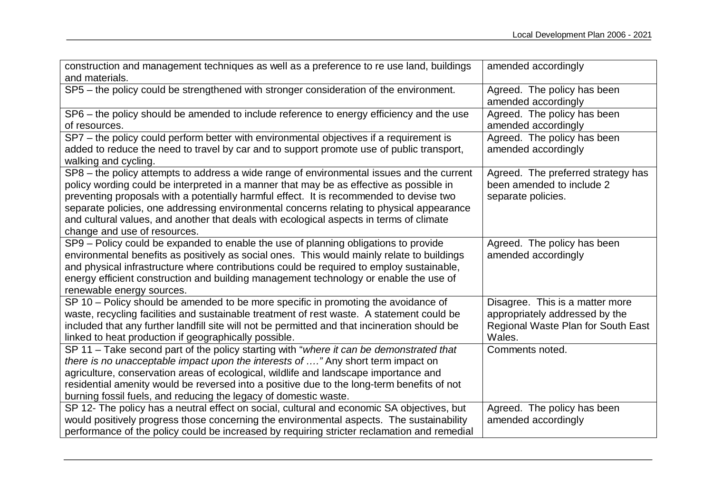| construction and management techniques as well as a preference to re use land, buildings      | amended accordingly                |
|-----------------------------------------------------------------------------------------------|------------------------------------|
| and materials.                                                                                |                                    |
| SP5 - the policy could be strengthened with stronger consideration of the environment.        | Agreed. The policy has been        |
|                                                                                               | amended accordingly                |
| SP6 – the policy should be amended to include reference to energy efficiency and the use      | Agreed. The policy has been        |
| of resources.                                                                                 | amended accordingly                |
| SP7 - the policy could perform better with environmental objectives if a requirement is       | Agreed. The policy has been        |
| added to reduce the need to travel by car and to support promote use of public transport,     | amended accordingly                |
| walking and cycling.                                                                          |                                    |
| SP8 - the policy attempts to address a wide range of environmental issues and the current     | Agreed. The preferred strategy has |
| policy wording could be interpreted in a manner that may be as effective as possible in       | been amended to include 2          |
| preventing proposals with a potentially harmful effect. It is recommended to devise two       | separate policies.                 |
| separate policies, one addressing environmental concerns relating to physical appearance      |                                    |
| and cultural values, and another that deals with ecological aspects in terms of climate       |                                    |
| change and use of resources.                                                                  |                                    |
| SP9 - Policy could be expanded to enable the use of planning obligations to provide           | Agreed. The policy has been        |
| environmental benefits as positively as social ones. This would mainly relate to buildings    | amended accordingly                |
| and physical infrastructure where contributions could be required to employ sustainable,      |                                    |
| energy efficient construction and building management technology or enable the use of         |                                    |
| renewable energy sources.                                                                     |                                    |
| SP 10 - Policy should be amended to be more specific in promoting the avoidance of            | Disagree. This is a matter more    |
| waste, recycling facilities and sustainable treatment of rest waste. A statement could be     | appropriately addressed by the     |
| included that any further landfill site will not be permitted and that incineration should be | Regional Waste Plan for South East |
| linked to heat production if geographically possible.                                         | Wales.                             |
| SP 11 - Take second part of the policy starting with "where it can be demonstrated that       | Comments noted.                    |
| there is no unacceptable impact upon the interests of " Any short term impact on              |                                    |
| agriculture, conservation areas of ecological, wildlife and landscape importance and          |                                    |
| residential amenity would be reversed into a positive due to the long-term benefits of not    |                                    |
| burning fossil fuels, and reducing the legacy of domestic waste.                              |                                    |
| SP 12- The policy has a neutral effect on social, cultural and economic SA objectives, but    | Agreed. The policy has been        |
| would positively progress those concerning the environmental aspects. The sustainability      | amended accordingly                |
| performance of the policy could be increased by requiring stricter reclamation and remedial   |                                    |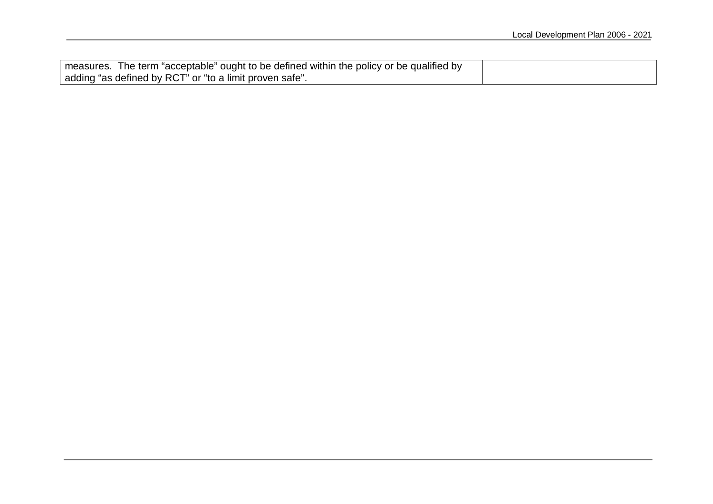| ' measures. The term "acceptable" ought to be defined within the policy or be qualified by |  |
|--------------------------------------------------------------------------------------------|--|
| adding "as defined by RCT" or "to a limit proven safe".                                    |  |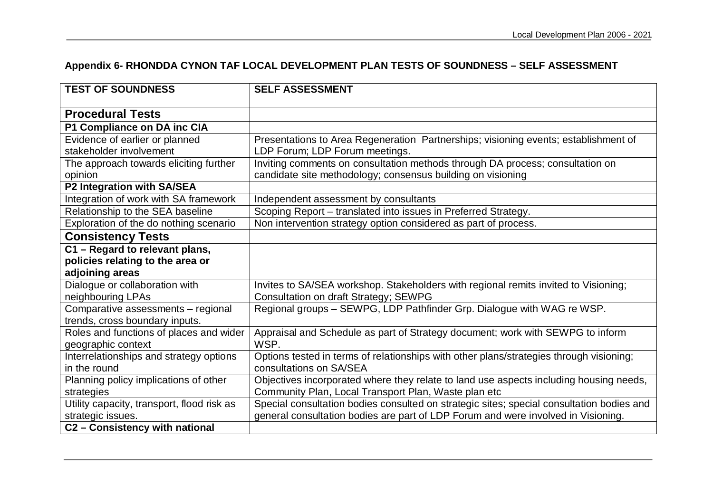# **Appendix 6- RHONDDA CYNON TAF LOCAL DEVELOPMENT PLAN TESTS OF SOUNDNESS – SELF ASSESSMENT**

| <b>TEST OF SOUNDNESS</b>                                      | <b>SELF ASSESSMENT</b>                                                                    |
|---------------------------------------------------------------|-------------------------------------------------------------------------------------------|
| <b>Procedural Tests</b>                                       |                                                                                           |
| P1 Compliance on DA inc CIA                                   |                                                                                           |
| Evidence of earlier or planned                                | Presentations to Area Regeneration Partnerships; visioning events; establishment of       |
| stakeholder involvement                                       | LDP Forum; LDP Forum meetings.                                                            |
| The approach towards eliciting further                        | Inviting comments on consultation methods through DA process; consultation on             |
| opinion                                                       | candidate site methodology; consensus building on visioning                               |
| P2 Integration with SA/SEA                                    |                                                                                           |
| Integration of work with SA framework                         | Independent assessment by consultants                                                     |
| Relationship to the SEA baseline                              | Scoping Report - translated into issues in Preferred Strategy.                            |
| Exploration of the do nothing scenario                        | Non intervention strategy option considered as part of process.                           |
| <b>Consistency Tests</b>                                      |                                                                                           |
| C1 - Regard to relevant plans,                                |                                                                                           |
| policies relating to the area or                              |                                                                                           |
| adjoining areas                                               |                                                                                           |
| Dialogue or collaboration with                                | Invites to SA/SEA workshop. Stakeholders with regional remits invited to Visioning;       |
| neighbouring LPAs                                             | <b>Consultation on draft Strategy; SEWPG</b>                                              |
| Comparative assessments - regional                            | Regional groups - SEWPG, LDP Pathfinder Grp. Dialogue with WAG re WSP.                    |
| trends, cross boundary inputs.                                |                                                                                           |
| Roles and functions of places and wider<br>geographic context | Appraisal and Schedule as part of Strategy document; work with SEWPG to inform<br>WSP.    |
| Interrelationships and strategy options                       | Options tested in terms of relationships with other plans/strategies through visioning;   |
| in the round                                                  | consultations on SA/SEA                                                                   |
| Planning policy implications of other                         | Objectives incorporated where they relate to land use aspects including housing needs,    |
| strategies                                                    | Community Plan, Local Transport Plan, Waste plan etc                                      |
| Utility capacity, transport, flood risk as                    | Special consultation bodies consulted on strategic sites; special consultation bodies and |
| strategic issues.                                             | general consultation bodies are part of LDP Forum and were involved in Visioning.         |
| C2 - Consistency with national                                |                                                                                           |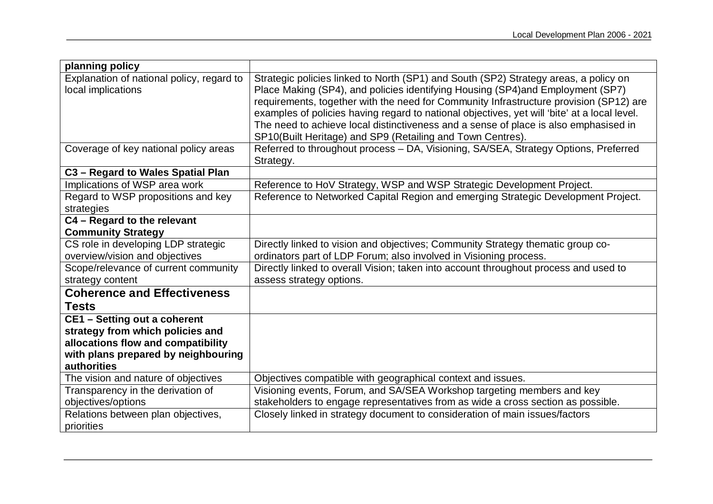| planning policy                           |                                                                                              |
|-------------------------------------------|----------------------------------------------------------------------------------------------|
| Explanation of national policy, regard to | Strategic policies linked to North (SP1) and South (SP2) Strategy areas, a policy on         |
| local implications                        | Place Making (SP4), and policies identifying Housing (SP4) and Employment (SP7)              |
|                                           | requirements, together with the need for Community Infrastructure provision (SP12) are       |
|                                           | examples of policies having regard to national objectives, yet will 'bite' at a local level. |
|                                           | The need to achieve local distinctiveness and a sense of place is also emphasised in         |
|                                           | SP10(Built Heritage) and SP9 (Retailing and Town Centres).                                   |
| Coverage of key national policy areas     | Referred to throughout process - DA, Visioning, SA/SEA, Strategy Options, Preferred          |
|                                           | Strategy.                                                                                    |
| C3 - Regard to Wales Spatial Plan         |                                                                                              |
| Implications of WSP area work             | Reference to HoV Strategy, WSP and WSP Strategic Development Project.                        |
| Regard to WSP propositions and key        | Reference to Networked Capital Region and emerging Strategic Development Project.            |
| strategies                                |                                                                                              |
| C4 - Regard to the relevant               |                                                                                              |
| <b>Community Strategy</b>                 |                                                                                              |
| CS role in developing LDP strategic       | Directly linked to vision and objectives; Community Strategy thematic group co-              |
| overview/vision and objectives            | ordinators part of LDP Forum; also involved in Visioning process.                            |
| Scope/relevance of current community      | Directly linked to overall Vision; taken into account throughout process and used to         |
| strategy content                          | assess strategy options.                                                                     |
| <b>Coherence and Effectiveness</b>        |                                                                                              |
| <b>Tests</b>                              |                                                                                              |
| <b>CE1 - Setting out a coherent</b>       |                                                                                              |
| strategy from which policies and          |                                                                                              |
| allocations flow and compatibility        |                                                                                              |
| with plans prepared by neighbouring       |                                                                                              |
| <b>authorities</b>                        |                                                                                              |
| The vision and nature of objectives       | Objectives compatible with geographical context and issues.                                  |
| Transparency in the derivation of         | Visioning events, Forum, and SA/SEA Workshop targeting members and key                       |
| objectives/options                        | stakeholders to engage representatives from as wide a cross section as possible.             |
| Relations between plan objectives,        | Closely linked in strategy document to consideration of main issues/factors                  |
| priorities                                |                                                                                              |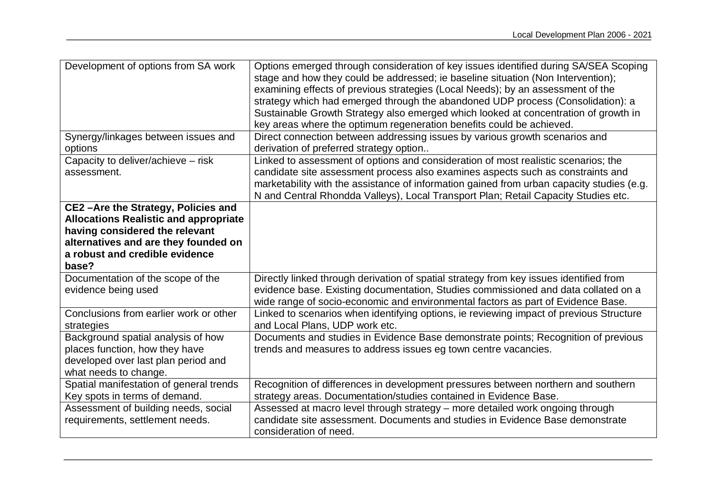| Development of options from SA work                                                                                                                                                                     | Options emerged through consideration of key issues identified during SA/SEA Scoping<br>stage and how they could be addressed; ie baseline situation (Non Intervention);<br>examining effects of previous strategies (Local Needs); by an assessment of the<br>strategy which had emerged through the abandoned UDP process (Consolidation): a<br>Sustainable Growth Strategy also emerged which looked at concentration of growth in<br>key areas where the optimum regeneration benefits could be achieved. |
|---------------------------------------------------------------------------------------------------------------------------------------------------------------------------------------------------------|---------------------------------------------------------------------------------------------------------------------------------------------------------------------------------------------------------------------------------------------------------------------------------------------------------------------------------------------------------------------------------------------------------------------------------------------------------------------------------------------------------------|
| Synergy/linkages between issues and<br>options                                                                                                                                                          | Direct connection between addressing issues by various growth scenarios and<br>derivation of preferred strategy option                                                                                                                                                                                                                                                                                                                                                                                        |
| Capacity to deliver/achieve - risk<br>assessment.                                                                                                                                                       | Linked to assessment of options and consideration of most realistic scenarios; the<br>candidate site assessment process also examines aspects such as constraints and<br>marketability with the assistance of information gained from urban capacity studies (e.g.<br>N and Central Rhondda Valleys), Local Transport Plan; Retail Capacity Studies etc.                                                                                                                                                      |
| CE2-Are the Strategy, Policies and<br><b>Allocations Realistic and appropriate</b><br>having considered the relevant<br>alternatives and are they founded on<br>a robust and credible evidence<br>base? |                                                                                                                                                                                                                                                                                                                                                                                                                                                                                                               |
| Documentation of the scope of the<br>evidence being used                                                                                                                                                | Directly linked through derivation of spatial strategy from key issues identified from<br>evidence base. Existing documentation, Studies commissioned and data collated on a<br>wide range of socio-economic and environmental factors as part of Evidence Base.                                                                                                                                                                                                                                              |
| Conclusions from earlier work or other<br>strategies                                                                                                                                                    | Linked to scenarios when identifying options, ie reviewing impact of previous Structure<br>and Local Plans, UDP work etc.                                                                                                                                                                                                                                                                                                                                                                                     |
| Background spatial analysis of how<br>places function, how they have<br>developed over last plan period and<br>what needs to change.                                                                    | Documents and studies in Evidence Base demonstrate points; Recognition of previous<br>trends and measures to address issues eg town centre vacancies.                                                                                                                                                                                                                                                                                                                                                         |
| Spatial manifestation of general trends<br>Key spots in terms of demand.                                                                                                                                | Recognition of differences in development pressures between northern and southern<br>strategy areas. Documentation/studies contained in Evidence Base.                                                                                                                                                                                                                                                                                                                                                        |
| Assessment of building needs, social<br>requirements, settlement needs.                                                                                                                                 | Assessed at macro level through strategy - more detailed work ongoing through<br>candidate site assessment. Documents and studies in Evidence Base demonstrate<br>consideration of need.                                                                                                                                                                                                                                                                                                                      |